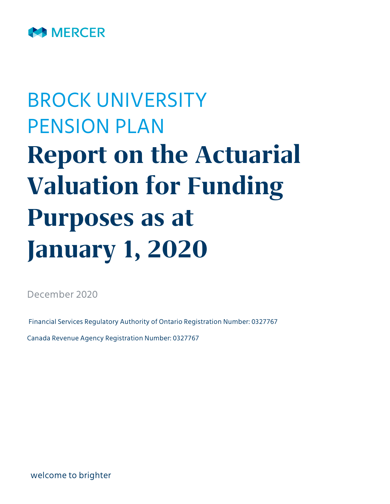

# BROCK UNIVERSITY PENSION PLAN **Report on the Actuarial Valuation for Funding Purposes as at January 1, 2020**

December 2020

Financial Services Regulatory Authority of Ontario Registration Number: 0327767

Canada Revenue Agency Registration Number: 0327767

welcome to brighter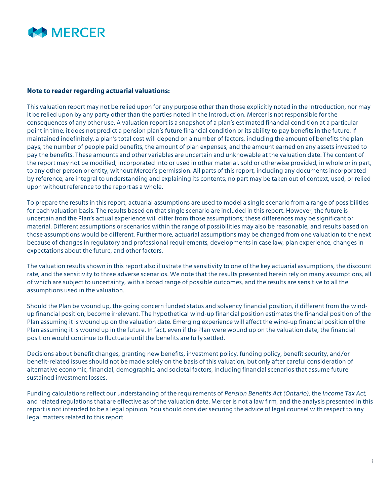

#### **Note to reader regarding actuarial valuations:**

This valuation report may not be relied upon for any purpose other than those explicitly noted in the Introduction, nor may it be relied upon by any party other than the parties noted in the Introduction. Mercer is not responsible for the consequences of any other use. A valuation report is a snapshot of a plan's estimated financial condition at a particular point in time; it does not predict a pension plan's future financial condition or its ability to pay benefits in the future. If maintained indefinitely, a plan's total cost will depend on a number of factors, including the amount of benefits the plan pays, the number of people paid benefits, the amount of plan expenses, and the amount earned on any assets invested to pay the benefits. These amounts and other variables are uncertain and unknowable at the valuation date. The content of the report may not be modified, incorporated into or used in other material, sold or otherwise provided, in whole or in part, to any other person or entity, without Mercer's permission. All parts of this report, including any documents incorporated by reference, are integral to understanding and explaining its contents; no part may be taken out of context, used, or relied upon without reference to the report as a whole.

To prepare the results in this report, actuarial assumptions are used to model a single scenario from a range of possibilities for each valuation basis. The results based on that single scenario are included in this report. However, the future is uncertain and the Plan's actual experience will differ from those assumptions; these differences may be significant or material. Different assumptions or scenarios within the range of possibilities may also be reasonable, and results based on those assumptions would be different. Furthermore, actuarial assumptions may be changed from one valuation to the next because of changes in regulatory and professional requirements, developments in case law, plan experience, changes in expectations about the future, and other factors.

The valuation results shown in this report also illustrate the sensitivity to one of the key actuarial assumptions, the discount rate, and the sensitivity to three adverse scenarios. We note that the results presented herein rely on many assumptions, all of which are subject to uncertainty, with a broad range of possible outcomes, and the results are sensitive to all the assumptions used in the valuation.

Should the Plan be wound up, the going concern funded status and solvency financial position, if different from the windup financial position, become irrelevant. The hypothetical wind-up financial position estimates the financial position of the Plan assuming it is wound up on the valuation date. Emerging experience will affect the wind-up financial position of the Plan assuming it is wound up in the future. In fact, even if the Plan were wound up on the valuation date, the financial position would continue to fluctuate until the benefits are fully settled.

Decisions about benefit changes, granting new benefits, investment policy, funding policy, benefit security, and/or benefit-related issues should not be made solely on the basis of this valuation, but only after careful consideration of alternative economic, financial, demographic, and societal factors, including financial scenarios that assume future sustained investment losses.

Funding calculations reflect our understanding of the requirements of *Pension Benefits Act (Ontario)*, the *Income Tax Act*, and related regulations that are effective as of the valuation date. Mercer is not a law firm, and the analysis presented in this report is not intended to be a legal opinion. You should consider securing the advice of legal counsel with respect to any legal matters related to this report.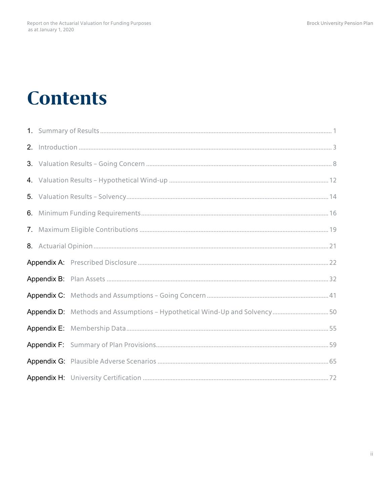## **Contents**

| 6. |                                                                           |  |
|----|---------------------------------------------------------------------------|--|
|    |                                                                           |  |
|    |                                                                           |  |
|    |                                                                           |  |
|    |                                                                           |  |
|    |                                                                           |  |
|    | Appendix D: Methods and Assumptions - Hypothetical Wind-Up and Solvency50 |  |
|    |                                                                           |  |
|    |                                                                           |  |
|    |                                                                           |  |
|    |                                                                           |  |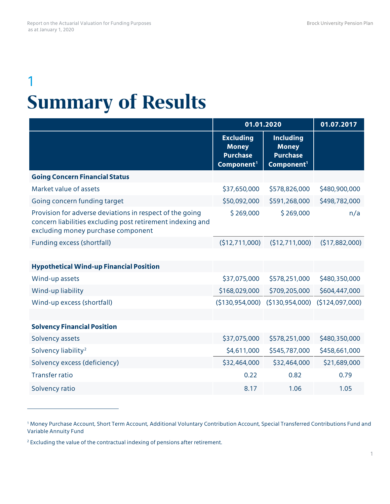## 1 **Summary of Results**

|                                                                                                                                                              | 01.01.2020                                                                    |                                                                               | 01.07.2017      |
|--------------------------------------------------------------------------------------------------------------------------------------------------------------|-------------------------------------------------------------------------------|-------------------------------------------------------------------------------|-----------------|
|                                                                                                                                                              | <b>Excluding</b><br><b>Money</b><br><b>Purchase</b><br>Component <sup>1</sup> | <b>Including</b><br><b>Money</b><br><b>Purchase</b><br>Component <sup>1</sup> |                 |
| <b>Going Concern Financial Status</b>                                                                                                                        |                                                                               |                                                                               |                 |
| Market value of assets                                                                                                                                       | \$37,650,000                                                                  | \$578,826,000                                                                 | \$480,900,000   |
| Going concern funding target                                                                                                                                 | \$50,092,000                                                                  | \$591,268,000                                                                 | \$498,782,000   |
| Provision for adverse deviations in respect of the going<br>concern liabilities excluding post retirement indexing and<br>excluding money purchase component | \$269,000                                                                     | \$269,000                                                                     | n/a             |
| Funding excess (shortfall)                                                                                                                                   | (\$12,711,000)                                                                | (\$12,711,000)                                                                | (517,882,000)   |
|                                                                                                                                                              |                                                                               |                                                                               |                 |
| <b>Hypothetical Wind-up Financial Position</b>                                                                                                               |                                                                               |                                                                               |                 |
| Wind-up assets                                                                                                                                               | \$37,075,000                                                                  | \$578,251,000                                                                 | \$480,350,000   |
| Wind-up liability                                                                                                                                            | \$168,029,000                                                                 | \$709,205,000                                                                 | \$604,447,000   |
| Wind-up excess (shortfall)                                                                                                                                   | (\$130,954,000)                                                               | (\$130,954,000)                                                               | (\$124,097,000) |
|                                                                                                                                                              |                                                                               |                                                                               |                 |
| <b>Solvency Financial Position</b>                                                                                                                           |                                                                               |                                                                               |                 |
| Solvency assets                                                                                                                                              | \$37,075,000                                                                  | \$578,251,000                                                                 | \$480,350,000   |
| Solvency liability <sup>2</sup>                                                                                                                              | \$4,611,000                                                                   | \$545,787,000                                                                 | \$458,661,000   |
| Solvency excess (deficiency)                                                                                                                                 | \$32,464,000                                                                  | \$32,464,000                                                                  | \$21,689,000    |
| <b>Transfer ratio</b>                                                                                                                                        | 0.22                                                                          | 0.82                                                                          | 0.79            |
| Solvency ratio                                                                                                                                               | 8.17                                                                          | 1.06                                                                          | 1.05            |

<span id="page-3-0"></span><sup>1</sup> Money Purchase Account, Short Term Account, Additional Voluntary Contribution Account, Special Transferred Contributions Fund and Variable Annuity Fund

 $\overline{a}$ 

<span id="page-3-1"></span><sup>2</sup> Excluding the value of the contractual indexing of pensions after retirement.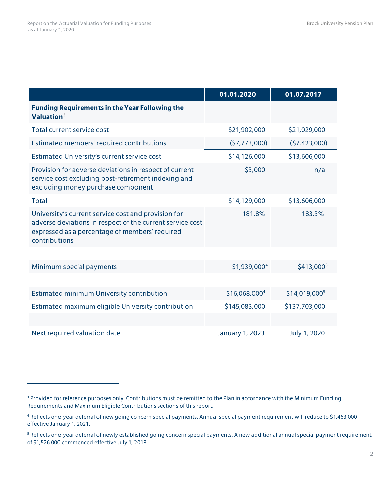$\overline{a}$ 

|                                                                                                                                                                                     | 01.01.2020                | 01.07.2017                |
|-------------------------------------------------------------------------------------------------------------------------------------------------------------------------------------|---------------------------|---------------------------|
| <b>Funding Requirements in the Year Following the</b><br>Valuation <sup>3</sup>                                                                                                     |                           |                           |
| <b>Total current service cost</b>                                                                                                                                                   | \$21,902,000              | \$21,029,000              |
| Estimated members' required contributions                                                                                                                                           | (57, 773, 000)            | (57, 423, 000)            |
| Estimated University's current service cost                                                                                                                                         | \$14,126,000              | \$13,606,000              |
| Provision for adverse deviations in respect of current<br>service cost excluding post-retirement indexing and<br>excluding money purchase component                                 | \$3,000                   | n/a                       |
| <b>Total</b>                                                                                                                                                                        | \$14,129,000              | \$13,606,000              |
| University's current service cost and provision for<br>adverse deviations in respect of the current service cost<br>expressed as a percentage of members' required<br>contributions | 181.8%                    | 183.3%                    |
|                                                                                                                                                                                     |                           |                           |
| Minimum special payments                                                                                                                                                            | \$1,939,000 <sup>4</sup>  | \$413,000 <sup>5</sup>    |
|                                                                                                                                                                                     |                           |                           |
| <b>Estimated minimum University contribution</b>                                                                                                                                    | \$16,068,000 <sup>4</sup> | \$14,019,000 <sup>5</sup> |
| Estimated maximum eligible University contribution                                                                                                                                  | \$145,083,000             | \$137,703,000             |
|                                                                                                                                                                                     |                           |                           |
| Next required valuation date                                                                                                                                                        | January 1, 2023           | July 1, 2020              |

<span id="page-4-0"></span><sup>&</sup>lt;sup>3</sup> Provided for reference purposes only. Contributions must be remitted to the Plan in accordance with the Minimum Funding Requirements and Maximum Eligible Contributions sections of this report.

<span id="page-4-1"></span><sup>4</sup> Reflects one-year deferral of new going concern special payments. Annual special payment requirement will reduce to \$1,463,000 effective January 1, 2021.

<span id="page-4-2"></span><sup>&</sup>lt;sup>5</sup> Reflects one-year deferral of newly established going concern special payments. A new additional annual special payment requirement of \$1,526,000 commenced effective July 1, 2018.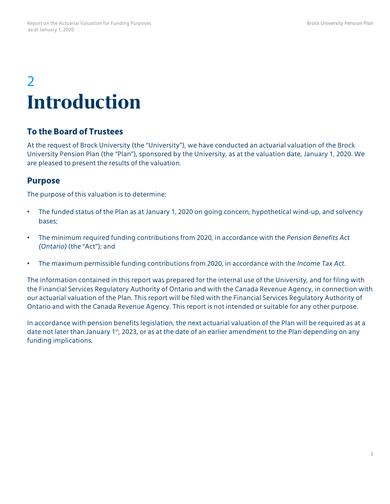## 2 **Introduction**

### **To the Board of Trustees**

At the request of Brock University (the "University"), we have conducted an actuarial valuation of the Brock University Pension Plan (the "Plan"), sponsored by the University, as at the valuation date, January 1, 2020. We are pleased to present the results of the valuation.

#### **Purpose**

The purpose of this valuation is to determine:

- The funded status of the Plan as at January 1, 2020 on going concern, hypothetical wind-up, and solvency bases;
- The minimum required funding contributions from 2020, in accordance with the *Pension Benefits Act (Ontario)* (the "Act"); and
- The maximum permissible funding contributions from 2020, in accordance with the *Income Tax Act.*

The information contained in this report was prepared for the internal use of the University, and for filing with the Financial Services Regulatory Authority of Ontario and with the Canada Revenue Agency, in connection with our actuarial valuation of the Plan. This report will be filed with the Financial Services Regulatory Authority of Ontario and with the Canada Revenue Agency. This report is not intended or suitable for any other purpose.

In accordance with pension benefits legislation, the next actuarial valuation of the Plan will be required as at a date not later than January 1<sup>st</sup>, 2023, or as at the date of an earlier amendment to the Plan depending on any funding implications.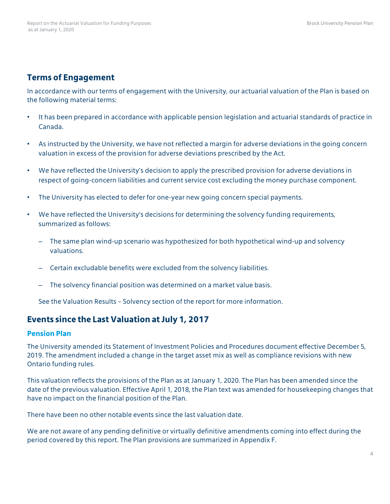#### **Terms of Engagement**

In accordance with our terms of engagement with the University, our actuarial valuation of the Plan is based on the following material terms:

- It has been prepared in accordance with applicable pension legislation and actuarial standards of practice in Canada.
- As instructed by the University, we have not reflected a margin for adverse deviations in the going concern valuation in excess of the provision for adverse deviations prescribed by the Act.
- We have reflected the University's decision to apply the prescribed provision for adverse deviations in respect of going-concern liabilities and current service cost excluding the money purchase component.
- The University has elected to defer for one-year new going concern special payments.
- We have reflected the University's decisions for determining the solvency funding requirements, summarized as follows:
	- The same plan wind-up scenario was hypothesized for both hypothetical wind-up and solvency valuations.
	- Certain excludable benefits were excluded from the solvency liabilities.
	- The solvency financial position was determined on a market value basis.

See the Valuation Results – Solvency section of the report for more information.

#### **Events since the Last Valuation at July 1, 2017**

#### **Pension Plan**

The University amended its Statement of Investment Policies and Procedures document effective December 5, 2019. The amendment included a change in the target asset mix as well as compliance revisions with new Ontario funding rules.

This valuation reflects the provisions of the Plan as at January 1, 2020. The Plan has been amended since the date of the previous valuation. Effective April 1, 2018, the Plan text was amended for housekeeping changes that have no impact on the financial position of the Plan.

There have been no other notable events since the last valuation date.

We are not aware of any pending definitive or virtually definitive amendments coming into effect during the period covered by this report. The Plan provisions are summarized in Appendix F.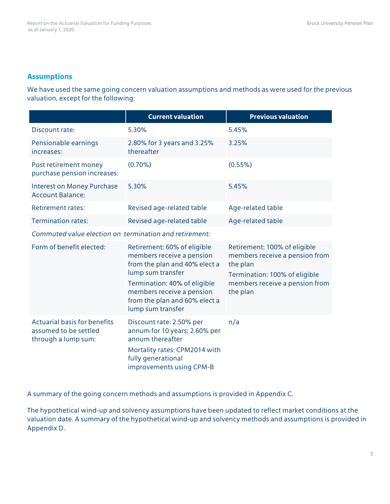#### **Assumptions**

We have used the same going concern valuation assumptions and methods as were used for the previous valuation, except for the following:

|                                                                                     | <b>Current valuation</b>                                                                                                                                                                                                          | <b>Previous valuation</b>                                                                                                                                 |
|-------------------------------------------------------------------------------------|-----------------------------------------------------------------------------------------------------------------------------------------------------------------------------------------------------------------------------------|-----------------------------------------------------------------------------------------------------------------------------------------------------------|
| Discount rate:                                                                      | 5.30%                                                                                                                                                                                                                             | 5.45%                                                                                                                                                     |
| Pensionable earnings<br>increases:                                                  | 2.80% for 3 years and 3.25%<br>thereafter                                                                                                                                                                                         | 3.25%                                                                                                                                                     |
| Post retirement money<br>purchase pension increases:                                | $(0.70\%)$                                                                                                                                                                                                                        | $(0.55\%)$                                                                                                                                                |
| <b>Interest on Money Purchase</b><br><b>Account Balance:</b>                        | 5.30%                                                                                                                                                                                                                             | 5.45%                                                                                                                                                     |
| <b>Retirement rates:</b>                                                            | Revised age-related table                                                                                                                                                                                                         | Age-related table                                                                                                                                         |
| <b>Termination rates:</b>                                                           | Revised age-related table                                                                                                                                                                                                         | Age-related table                                                                                                                                         |
| Commuted value election on termination and retirement:                              |                                                                                                                                                                                                                                   |                                                                                                                                                           |
| Form of benefit elected:                                                            | Retirement: 60% of eligible<br>members receive a pension<br>from the plan and 40% elect a<br>lump sum transfer<br>Termination: 40% of eligible<br>members receive a pension<br>from the plan and 60% elect a<br>lump sum transfer | Retirement: 100% of eligible<br>members receive a pension from<br>the plan<br>Termination: 100% of eligible<br>members receive a pension from<br>the plan |
| <b>Actuarial basis for benefits</b><br>assumed to be settled<br>through a lump sum: | Discount rate: 2.50% per<br>annum for 10 years; 2.60% per<br>annum thereafter<br>Mortality rates: CPM2014 with<br>fully generational<br>improvements using CPM-B                                                                  | n/a                                                                                                                                                       |

A summary of the going concern methods and assumptions is provided in Appendix C.

The hypothetical wind-up and solvency assumptions have been updated to reflect market conditions at the valuation date. A summary of the hypothetical wind-up and solvency methods and assumptions is provided in Appendix D.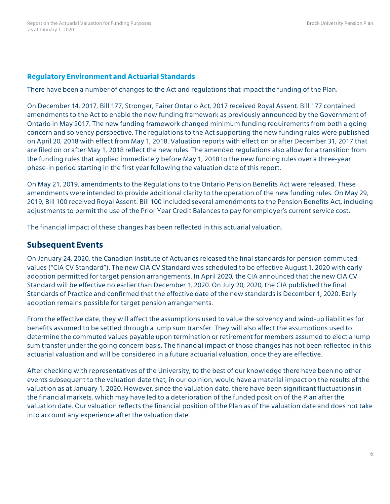#### **Regulatory Environment and Actuarial Standards**

There have been a number of changes to the Act and regulations that impact the funding of the Plan.

On December 14, 2017, Bill 177, Stronger, Fairer Ontario Act, 2017 received Royal Assent. Bill 177 contained amendments to the Act to enable the new funding framework as previously announced by the Government of Ontario in May 2017. The new funding framework changed minimum funding requirements from both a going concern and solvency perspective. The regulations to the Act supporting the new funding rules were published on April 20, 2018 with effect from May 1, 2018. Valuation reports with effect on or after December 31, 2017 that are filed on or after May 1, 2018 reflect the new rules. The amended regulations also allow for a transition from the funding rules that applied immediately before May 1, 2018 to the new funding rules over a three-year phase-in period starting in the first year following the valuation date of this report.

On May 21, 2019, amendments to the Regulations to the Ontario Pension Benefits Act were released. These amendments were intended to provide additional clarity to the operation of the new funding rules. On May 29, 2019, Bill 100 received Royal Assent. Bill 100 included several amendments to the Pension Benefits Act, including adjustments to permit the use of the Prior Year Credit Balances to pay for employer's current service cost.

The financial impact of these changes has been reflected in this actuarial valuation.

#### **Subsequent Events**

On January 24, 2020, the Canadian Institute of Actuaries released the final standards for pension commuted values ("CIA CV Standard"). The new CIA CV Standard was scheduled to be effective August 1, 2020 with early adoption permitted for target pension arrangements. In April 2020, the CIA announced that the new CIA CV Standard will be effective no earlier than December 1, 2020. On July 20, 2020, the CIA published the final Standards of Practice and confirmed that the effective date of the new standards is December 1, 2020. Early adoption remains possible for target pension arrangements.

From the effective date, they will affect the assumptions used to value the solvency and wind-up liabilities for benefits assumed to be settled through a lump sum transfer. They will also affect the assumptions used to determine the commuted values payable upon termination or retirement for members assumed to elect a lump sum transfer under the going concern basis. The financial impact of those changes has not been reflected in this actuarial valuation and will be considered in a future actuarial valuation, once they are effective.

After checking with representatives of the University, to the best of our knowledge there have been no other events subsequent to the valuation date that, in our opinion, would have a material impact on the results of the valuation as at January 1, 2020. However, since the valuation date, there have been significant fluctuations in the financial markets, which may have led to a deterioration of the funded position of the Plan after the valuation date. Our valuation reflects the financial position of the Plan as of the valuation date and does not take into account any experience after the valuation date.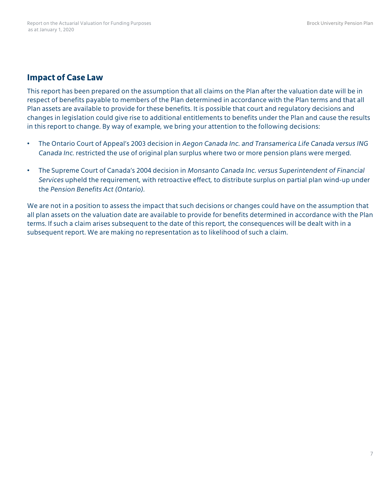#### **Impact of Case Law**

This report has been prepared on the assumption that all claims on the Plan after the valuation date will be in respect of benefits payable to members of the Plan determined in accordance with the Plan terms and that all Plan assets are available to provide for these benefits. It is possible that court and regulatory decisions and changes in legislation could give rise to additional entitlements to benefits under the Plan and cause the results in this report to change. By way of example, we bring your attention to the following decisions:

- The Ontario Court of Appeal's 2003 decision in *Aegon Canada Inc. and Transamerica Life Canada versus ING Canada Inc.* restricted the use of original plan surplus where two or more pension plans were merged.
- The Supreme Court of Canada's 2004 decision in *Monsanto Canada Inc. versus Superintendent of Financial Services* upheld the requirement, with retroactive effect, to distribute surplus on partial plan wind-up under the *Pension Benefits Act (Ontario).*

We are not in a position to assess the impact that such decisions or changes could have on the assumption that all plan assets on the valuation date are available to provide for benefits determined in accordance with the Plan terms. If such a claim arises subsequent to the date of this report, the consequences will be dealt with in a subsequent report. We are making no representation as to likelihood of such a claim.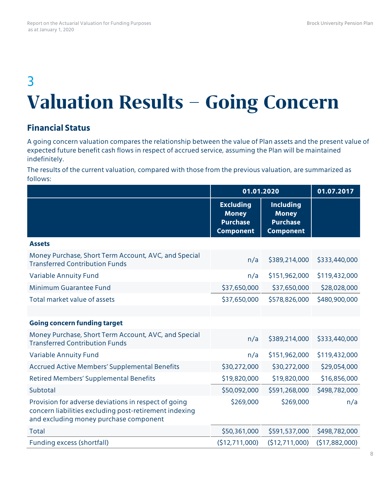## 3 **Valuation Results – Going Concern**

### **Financial Status**

A going concern valuation compares the relationship between the value of Plan assets and the present value of expected future benefit cash flows in respect of accrued service, assuming the Plan will be maintained indefinitely.

The results of the current valuation, compared with those from the previous valuation, are summarized as follows:

|                                                                                                                                                          | 01.01.2020                                                              |                                                                         | 01.07.2017     |
|----------------------------------------------------------------------------------------------------------------------------------------------------------|-------------------------------------------------------------------------|-------------------------------------------------------------------------|----------------|
|                                                                                                                                                          | <b>Excluding</b><br><b>Money</b><br><b>Purchase</b><br><b>Component</b> | <b>Including</b><br><b>Money</b><br><b>Purchase</b><br><b>Component</b> |                |
| <b>Assets</b>                                                                                                                                            |                                                                         |                                                                         |                |
| Money Purchase, Short Term Account, AVC, and Special<br><b>Transferred Contribution Funds</b>                                                            | n/a                                                                     | \$389,214,000                                                           | \$333,440,000  |
| <b>Variable Annuity Fund</b>                                                                                                                             | n/a                                                                     | \$151,962,000                                                           | \$119,432,000  |
| <b>Minimum Guarantee Fund</b>                                                                                                                            | \$37,650,000                                                            | \$37,650,000                                                            | \$28,028,000   |
| Total market value of assets                                                                                                                             | \$37,650,000                                                            | \$578,826,000                                                           | \$480,900,000  |
|                                                                                                                                                          |                                                                         |                                                                         |                |
| <b>Going concern funding target</b>                                                                                                                      |                                                                         |                                                                         |                |
| Money Purchase, Short Term Account, AVC, and Special<br><b>Transferred Contribution Funds</b>                                                            | n/a                                                                     | \$389,214,000                                                           | \$333,440,000  |
| <b>Variable Annuity Fund</b>                                                                                                                             | n/a                                                                     | \$151,962,000                                                           | \$119,432,000  |
| <b>Accrued Active Members' Supplemental Benefits</b>                                                                                                     | \$30,272,000                                                            | \$30,272,000                                                            | \$29,054,000   |
| <b>Retired Members' Supplemental Benefits</b>                                                                                                            | \$19,820,000                                                            | \$19,820,000                                                            | \$16,856,000   |
| Subtotal                                                                                                                                                 | \$50,092,000                                                            | \$591,268,000                                                           | \$498,782,000  |
| Provision for adverse deviations in respect of going<br>concern liabilities excluding post-retirement indexing<br>and excluding money purchase component | \$269,000                                                               | \$269,000                                                               | n/a            |
| <b>Total</b>                                                                                                                                             | \$50,361,000                                                            | \$591,537,000                                                           | \$498,782,000  |
| Funding excess (shortfall)                                                                                                                               | (\$12,711,000)                                                          | (\$12,711,000)                                                          | (\$17,882,000) |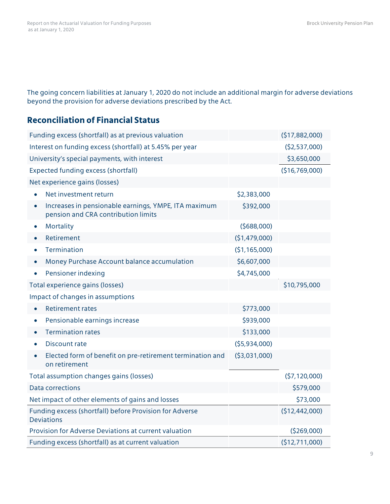The going concern liabilities at January 1, 2020 do not include an additional margin for adverse deviations beyond the provision for adverse deviations prescribed by the Act.

### **Reconciliation of Financial Status**

| Funding excess (shortfall) as at previous valuation                                                      |                | (\$17,882,000) |
|----------------------------------------------------------------------------------------------------------|----------------|----------------|
| Interest on funding excess (shortfall) at 5.45% per year                                                 |                | (52,537,000)   |
| University's special payments, with interest                                                             |                | \$3,650,000    |
| <b>Expected funding excess (shortfall)</b>                                                               |                | (\$16,769,000) |
| Net experience gains (losses)                                                                            |                |                |
| Net investment return                                                                                    | \$2,383,000    |                |
| Increases in pensionable earnings, YMPE, ITA maximum<br>$\bullet$<br>pension and CRA contribution limits | \$392,000      |                |
| Mortality<br>$\bullet$                                                                                   | (5688,000)     |                |
| Retirement                                                                                               | (\$1,479,000)  |                |
| Termination                                                                                              | (\$1,165,000)  |                |
| Money Purchase Account balance accumulation                                                              | \$6,607,000    |                |
| Pensioner indexing<br>$\bullet$                                                                          | \$4,745,000    |                |
| Total experience gains (losses)                                                                          |                | \$10,795,000   |
| Impact of changes in assumptions                                                                         |                |                |
| <b>Retirement rates</b>                                                                                  | \$773,000      |                |
| Pensionable earnings increase<br>$\bullet$                                                               | \$939,000      |                |
| <b>Termination rates</b>                                                                                 | \$133,000      |                |
| Discount rate<br>$\bullet$                                                                               | (55,934,000)   |                |
| Elected form of benefit on pre-retirement termination and<br>on retirement                               | ( \$3,031,000) |                |
| Total assumption changes gains (losses)                                                                  |                | (57, 120, 000) |
| <b>Data corrections</b>                                                                                  |                | \$579,000      |
| Net impact of other elements of gains and losses                                                         |                | \$73,000       |
| Funding excess (shortfall) before Provision for Adverse<br><b>Deviations</b>                             |                | (\$12,442,000) |
| <b>Provision for Adverse Deviations at current valuation</b>                                             |                | (5269,000)     |
| Funding excess (shortfall) as at current valuation                                                       |                | (\$12,711,000) |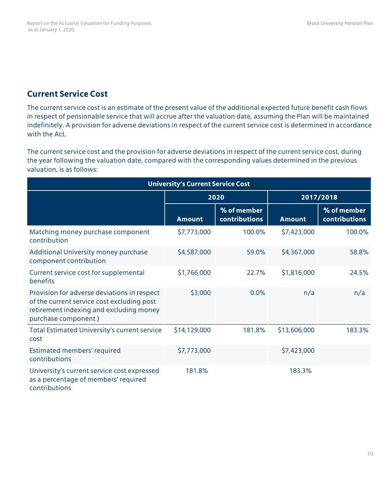#### **Current Service Cost**

The current service cost is an estimate of the present value of the additional expected future benefit cash flows in respect of pensionable service that will accrue after the valuation date, assuming the Plan will be maintained indefinitely. A provision for adverse deviations in respect of the current service cost is determined in accordance with the Act.

The current service cost and the provision for adverse deviations in respect of the current service cost, during the year following the valuation date, compared with the corresponding values determined in the previous valuation, is as follows:

| <b>University's Current Service Cost</b>                                                                                                                    |               |                              |               |                                     |  |
|-------------------------------------------------------------------------------------------------------------------------------------------------------------|---------------|------------------------------|---------------|-------------------------------------|--|
|                                                                                                                                                             |               | 2020                         | 2017/2018     |                                     |  |
|                                                                                                                                                             | <b>Amount</b> | % of member<br>contributions | <b>Amount</b> | % of member<br><b>contributions</b> |  |
| Matching money purchase component<br>contribution                                                                                                           | \$7,773,000   | 100.0%                       | \$7,423,000   | 100.0%                              |  |
| Additional University money purchase<br>component contribution                                                                                              | \$4,587,000   | 59.0%                        | \$4,367,000   | 58.8%                               |  |
| Current service cost for supplemental<br>benefits                                                                                                           | \$1,766,000   | 22.7%                        | \$1,816,000   | 24.5%                               |  |
| Provision for adverse deviations in respect<br>of the current service cost excluding post<br>retirement indexing and excluding money<br>purchase component) | \$3,000       | 0.0%                         | n/a           | n/a                                 |  |
| Total Estimated University's current service<br>cost                                                                                                        | \$14,129,000  | 181.8%                       | \$13,606,000  | 183.3%                              |  |
| Estimated members' required<br>contributions                                                                                                                | \$7,773,000   |                              | \$7,423,000   |                                     |  |
| University's current service cost expressed<br>as a percentage of members' required<br>contributions                                                        | 181.8%        |                              | 183.3%        |                                     |  |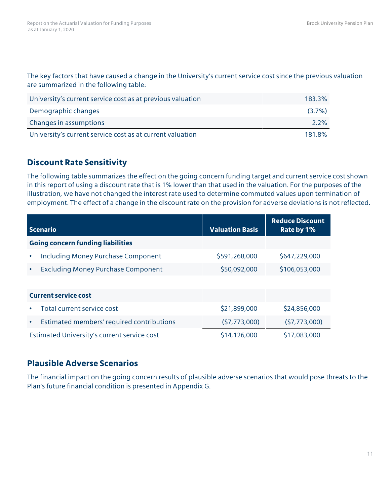The key factors that have caused a change in the University's current service cost since the previous valuation are summarized in the following table:

| University's current service cost as at previous valuation | 183.3%    |
|------------------------------------------------------------|-----------|
| Demographic changes                                        | $(3.7\%)$ |
| Changes in assumptions                                     | $2.2\%$   |
| University's current service cost as at current valuation  | 181.8%    |

#### **Discount Rate Sensitivity**

The following table summarizes the effect on the going concern funding target and current service cost shown in this report of using a discount rate that is 1% lower than that used in the valuation. For the purposes of the illustration, we have not changed the interest rate used to determine commuted values upon termination of employment. The effect of a change in the discount rate on the provision for adverse deviations is not reflected.

| <b>Scenario</b>                                        | <b>Valuation Basis</b> | <b>Reduce Discount</b><br>Rate by 1% |
|--------------------------------------------------------|------------------------|--------------------------------------|
| <b>Going concern funding liabilities</b>               |                        |                                      |
| <b>Including Money Purchase Component</b><br>$\bullet$ | \$591,268,000          | \$647,229,000                        |
| <b>Excluding Money Purchase Component</b><br>$\bullet$ | \$50,092,000           | \$106,053,000                        |
|                                                        |                        |                                      |
| <b>Current service cost</b>                            |                        |                                      |
| Total current service cost<br>$\bullet$                | \$21,899,000           | \$24,856,000                         |
| Estimated members' required contributions<br>$\bullet$ | (57, 773, 000)         | (57, 773, 000)                       |
| Estimated University's current service cost            | \$14,126,000           | \$17,083,000                         |

#### **Plausible Adverse Scenarios**

The financial impact on the going concern results of plausible adverse scenarios that would pose threats to the Plan's future financial condition is presented in Appendix G.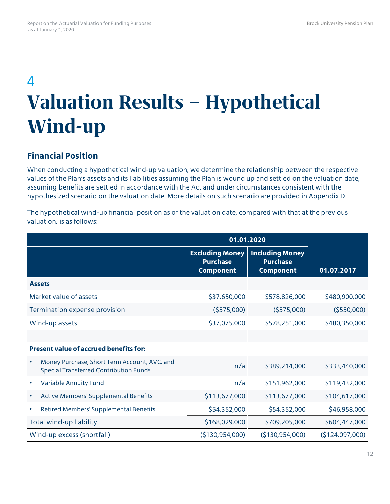## 4 **Valuation Results – Hypothetical Wind-up**

#### **Financial Position**

When conducting a hypothetical wind-up valuation, we determine the relationship between the respective values of the Plan's assets and its liabilities assuming the Plan is wound up and settled on the valuation date, assuming benefits are settled in accordance with the Act and under circumstances consistent with the hypothesized scenario on the valuation date. More details on such scenario are provided in Appendix D.

The hypothetical wind-up financial position as of the valuation date, compared with that at the previous valuation, is as follows:

|                                                                                               | 01.01.2020                                                    |                                                               |                 |
|-----------------------------------------------------------------------------------------------|---------------------------------------------------------------|---------------------------------------------------------------|-----------------|
|                                                                                               | <b>Excluding Money</b><br><b>Purchase</b><br><b>Component</b> | <b>Including Money</b><br><b>Purchase</b><br><b>Component</b> | 01.07.2017      |
| <b>Assets</b>                                                                                 |                                                               |                                                               |                 |
| Market value of assets                                                                        | \$37,650,000                                                  | \$578,826,000                                                 | \$480,900,000   |
| Termination expense provision                                                                 | (5575,000)                                                    | (5575,000)                                                    | (5550,000)      |
| Wind-up assets                                                                                | \$37,075,000                                                  | \$578,251,000                                                 | \$480,350,000   |
|                                                                                               |                                                               |                                                               |                 |
| <b>Present value of accrued benefits for:</b>                                                 |                                                               |                                                               |                 |
| Money Purchase, Short Term Account, AVC, and<br><b>Special Transferred Contribution Funds</b> | n/a                                                           | \$389,214,000                                                 | \$333,440,000   |
| <b>Variable Annuity Fund</b><br>$\bullet$                                                     | n/a                                                           | \$151,962,000                                                 | \$119,432,000   |
| <b>Active Members' Supplemental Benefits</b><br>$\bullet$                                     | \$113,677,000                                                 | \$113,677,000                                                 | \$104,617,000   |
| Retired Members' Supplemental Benefits<br>$\bullet$                                           | \$54,352,000                                                  | \$54,352,000                                                  | \$46,958,000    |
| Total wind-up liability                                                                       | \$168,029,000                                                 | \$709,205,000                                                 | \$604,447,000   |
| Wind-up excess (shortfall)                                                                    | ( \$130, 954, 000)                                            | (\$130,954,000)                                               | (\$124,097,000) |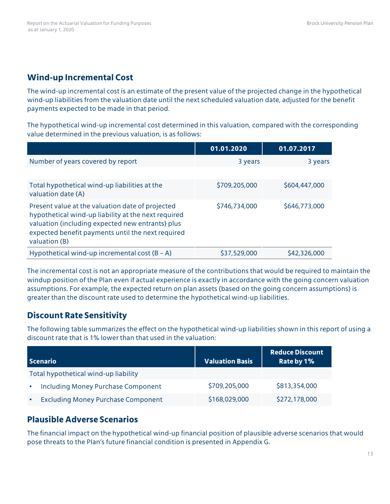#### **Wind-up Incremental Cost**

The wind-up incremental cost is an estimate of the present value of the projected change in the hypothetical wind-up liabilities from the valuation date until the next scheduled valuation date, adjusted for the benefit payments expected to be made in that period.

The hypothetical wind-up incremental cost determined in this valuation, compared with the corresponding value determined in the previous valuation, is as follows:

|                                                                                                                                                                                                                                   | 01.01.2020    | 01.07.2017    |
|-----------------------------------------------------------------------------------------------------------------------------------------------------------------------------------------------------------------------------------|---------------|---------------|
| Number of years covered by report                                                                                                                                                                                                 | 3 years       | 3 years       |
|                                                                                                                                                                                                                                   |               |               |
| Total hypothetical wind-up liabilities at the<br>valuation date (A)                                                                                                                                                               | \$709,205,000 | \$604,447,000 |
| Present value at the valuation date of projected<br>hypothetical wind-up liability at the next required<br>valuation (including expected new entrants) plus<br>expected benefit payments until the next required<br>valuation (B) | \$746,734,000 | \$646,773,000 |
| Hypothetical wind-up incremental cost $(B - A)$                                                                                                                                                                                   | \$37,529,000  | \$42,326,000  |

The incremental cost is not an appropriate measure of the contributions that would be required to maintain the windup position of the Plan even if actual experience is exactly in accordance with the going concern valuation assumptions. For example, the expected return on plan assets (based on the going concern assumptions) is greater than the discount rate used to determine the hypothetical wind-up liabilities.

### **Discount Rate Sensitivity**

The following table summarizes the effect on the hypothetical wind-up liabilities shown in this report of using a discount rate that is 1% lower than that used in the valuation:

| Scenario                                  | <b>Valuation Basis</b> | Reduce Discount<br>Rate by 1% |
|-------------------------------------------|------------------------|-------------------------------|
| Total hypothetical wind-up liability      |                        |                               |
| <b>Including Money Purchase Component</b> | \$709,205,000          | \$813,354,000                 |
| <b>Excluding Money Purchase Component</b> | \$168,029,000          | \$272,178,000                 |

### **Plausible Adverse Scenarios**

The financial impact on the hypothetical wind-up financial position of plausible adverse scenarios that would pose threats to the Plan's future financial condition is presented in Appendix G.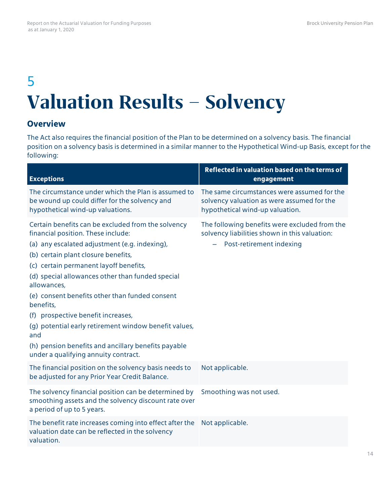## 5 **Valuation Results – Solvency**

#### **Overview**

The Act also requires the financial position of the Plan to be determined on a solvency basis. The financial position on a solvency basis is determined in a similar manner to the Hypothetical Wind-up Basis, except for the following:

| <b>Exceptions</b>                                                                                                                                                                                                                                                                                                                                                                                                                                                                                                                                                 | Reflected in valuation based on the terms of<br>engagement                                                                   |
|-------------------------------------------------------------------------------------------------------------------------------------------------------------------------------------------------------------------------------------------------------------------------------------------------------------------------------------------------------------------------------------------------------------------------------------------------------------------------------------------------------------------------------------------------------------------|------------------------------------------------------------------------------------------------------------------------------|
| The circumstance under which the Plan is assumed to<br>be wound up could differ for the solvency and<br>hypothetical wind-up valuations.                                                                                                                                                                                                                                                                                                                                                                                                                          | The same circumstances were assumed for the<br>solvency valuation as were assumed for the<br>hypothetical wind-up valuation. |
| Certain benefits can be excluded from the solvency<br>financial position. These include:<br>(a) any escalated adjustment (e.g. indexing),<br>(b) certain plant closure benefits,<br>(c) certain permanent layoff benefits,<br>(d) special allowances other than funded special<br>allowances,<br>(e) consent benefits other than funded consent<br>benefits,<br>(f) prospective benefit increases,<br>(q) potential early retirement window benefit values,<br>and<br>(h) pension benefits and ancillary benefits payable<br>under a qualifying annuity contract. | The following benefits were excluded from the<br>solvency liabilities shown in this valuation:<br>Post-retirement indexing   |
| The financial position on the solvency basis needs to<br>be adjusted for any Prior Year Credit Balance.                                                                                                                                                                                                                                                                                                                                                                                                                                                           | Not applicable.                                                                                                              |
| The solvency financial position can be determined by<br>smoothing assets and the solvency discount rate over<br>a period of up to 5 years.                                                                                                                                                                                                                                                                                                                                                                                                                        | Smoothing was not used.                                                                                                      |
| The benefit rate increases coming into effect after the<br>valuation date can be reflected in the solvency<br>valuation.                                                                                                                                                                                                                                                                                                                                                                                                                                          | Not applicable.                                                                                                              |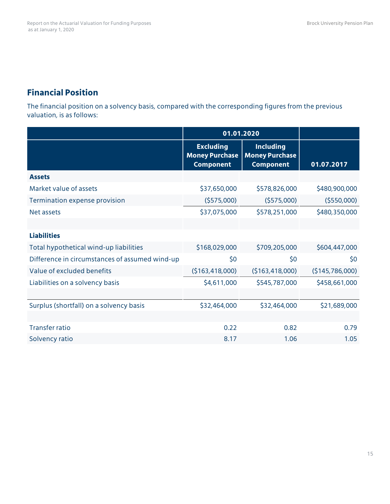## **Financial Position**

The financial position on a solvency basis, compared with the corresponding figures from the previous valuation, is as follows:

|                                                | 01.01.2020                                                    |                                                               |                 |
|------------------------------------------------|---------------------------------------------------------------|---------------------------------------------------------------|-----------------|
|                                                | <b>Excluding</b><br><b>Money Purchase</b><br><b>Component</b> | <b>Including</b><br><b>Money Purchase</b><br><b>Component</b> | 01.07.2017      |
| <b>Assets</b>                                  |                                                               |                                                               |                 |
| Market value of assets                         | \$37,650,000                                                  | \$578,826,000                                                 | \$480,900,000   |
| Termination expense provision                  | (5575,000)                                                    | (5575,000)                                                    | (5550,000)      |
| <b>Net assets</b>                              | \$37,075,000                                                  | \$578,251,000                                                 | \$480,350,000   |
|                                                |                                                               |                                                               |                 |
| <b>Liabilities</b>                             |                                                               |                                                               |                 |
| Total hypothetical wind-up liabilities         | \$168,029,000                                                 | \$709,205,000                                                 | \$604,447,000   |
| Difference in circumstances of assumed wind-up | \$0                                                           | \$0                                                           | \$0             |
| Value of excluded benefits                     | (\$163,418,000)                                               | ( \$163, 418, 000)                                            | (\$145,786,000) |
| Liabilities on a solvency basis                | \$4,611,000                                                   | \$545,787,000                                                 | \$458,661,000   |
|                                                |                                                               |                                                               |                 |
| Surplus (shortfall) on a solvency basis        | \$32,464,000                                                  | \$32,464,000                                                  | \$21,689,000    |
|                                                |                                                               |                                                               |                 |
| <b>Transfer ratio</b>                          | 0.22                                                          | 0.82                                                          | 0.79            |
| Solvency ratio                                 | 8.17                                                          | 1.06                                                          | 1.05            |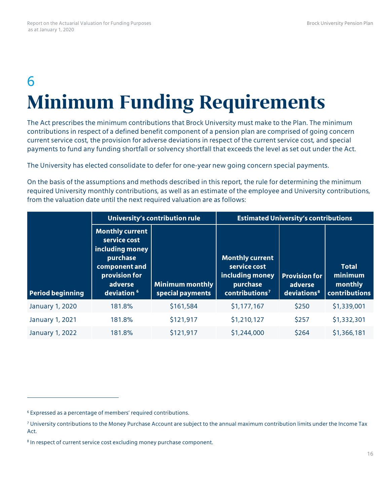## 6 **Minimum Funding Requirements**

The Act prescribes the minimum contributions that Brock University must make to the Plan. The minimum contributions in respect of a defined benefit component of a pension plan are comprised of going concern current service cost, the provision for adverse deviations in respect of the current service cost, and special payments to fund any funding shortfall or solvency shortfall that exceeds the level as set out under the Act.

The University has elected consolidate to defer for one-year new going concern special payments.

On the basis of the assumptions and methods described in this report, the rule for determining the minimum required University monthly contributions, as well as an estimate of the employee and University contributions, from the valuation date until the next required valuation are as follows:

|                         | University's contribution rule                                                                                                               |                                     | <b>Estimated University's contributions</b>                                                         |                                                            |                                                            |
|-------------------------|----------------------------------------------------------------------------------------------------------------------------------------------|-------------------------------------|-----------------------------------------------------------------------------------------------------|------------------------------------------------------------|------------------------------------------------------------|
| <b>Period beginning</b> | <b>Monthly current</b><br>service cost<br>including money<br>purchase<br>component and<br>provision for<br>adverse<br>deviation <sup>6</sup> | Minimum monthly<br>special payments | <b>Monthly current</b><br>service cost<br>including money<br>purchase<br>contributions <sup>7</sup> | <b>Provision for</b><br>adverse<br>deviations <sup>8</sup> | <b>Total</b><br>minimum<br>monthly<br><b>contributions</b> |
| January 1, 2020         | 181.8%                                                                                                                                       | \$161,584                           | \$1,177,167                                                                                         | \$250                                                      | \$1,339,001                                                |
| <b>January 1, 2021</b>  | 181.8%                                                                                                                                       | \$121,917                           | \$1,210,127                                                                                         | \$257                                                      | \$1,332,301                                                |
| <b>January 1, 2022</b>  | 181.8%                                                                                                                                       | \$121,917                           | \$1,244,000                                                                                         | \$264                                                      | \$1,366,181                                                |

 $\overline{a}$ 

<span id="page-18-0"></span><sup>6</sup> Expressed as a percentage of members' required contributions.

<span id="page-18-1"></span> $<sup>7</sup>$  University contributions to the Money Purchase Account are subject to the annual maximum contribution limits under the Income Tax</sup> Act.

<span id="page-18-2"></span><sup>&</sup>lt;sup>8</sup> In respect of current service cost excluding money purchase component.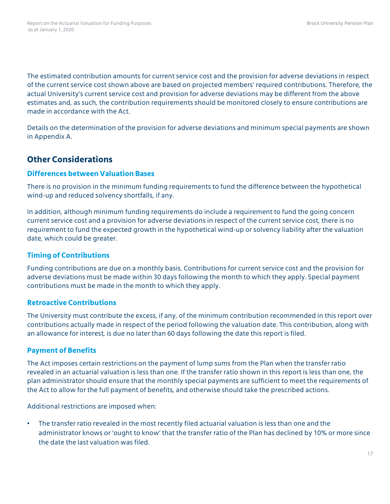The estimated contribution amounts for current service cost and the provision for adverse deviations in respect of the current service cost shown above are based on projected members' required contributions. Therefore, the actual University's current service cost and provision for adverse deviations may be different from the above estimates and, as such, the contribution requirements should be monitored closely to ensure contributions are made in accordance with the Act.

Details on the determination of the provision for adverse deviations and minimum special payments are shown in Appendix A.

### **Other Considerations**

#### **Differences betweenValuation Bases**

There is no provision in the minimum funding requirements to fund the difference between the hypothetical wind-up and reduced solvency shortfalls, if any.

In addition, although minimum funding requirements do include a requirement to fund the going concern current service cost and a provision for adverse deviations in respect of the current service cost, there is no requirement to fund the expected growth in the hypothetical wind-up or solvency liability after the valuation date, which could be greater.

#### **Timing of Contributions**

Funding contributions are due on a monthly basis. Contributions for current service cost and the provision for adverse deviations must be made within 30 days following the month to which they apply. Special payment contributions must be made in the month to which they apply.

#### **Retroactive Contributions**

The University must contribute the excess, if any, of the minimum contribution recommended in this report over contributions actually made in respect of the period following the valuation date. This contribution, along with an allowance for interest, is due no later than 60 days following the date this report is filed.

#### **Payment of Benefits**

The Act imposes certain restrictions on the payment of lump sums from the Plan when the transfer ratio revealed in an actuarial valuation is less than one. If the transfer ratio shown in this report is less than one, the plan administrator should ensure that the monthly special payments are sufficient to meet the requirements of the Act to allow for the full payment of benefits, and otherwise should take the prescribed actions.

Additional restrictions are imposed when:

• The transfer ratio revealed in the most recently filed actuarial valuation is less than one and the administrator knows or 'ought to know' that the transfer ratio of the Plan has declined by 10% or more since the date the last valuation was filed.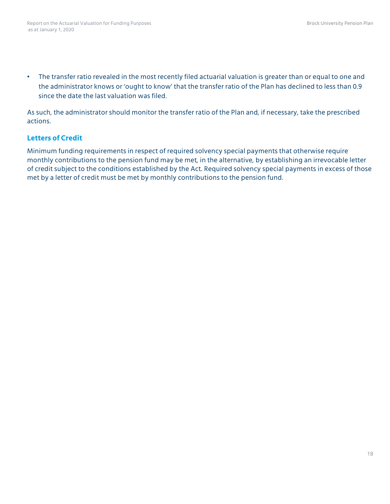• The transfer ratio revealed in the most recently filed actuarial valuation is greater than or equal to one and the administrator knows or 'ought to know' that the transfer ratio of the Plan has declined to less than 0.9 since the date the last valuation was filed.

As such, the administrator should monitor the transfer ratio of the Plan and, if necessary, take the prescribed actions.

#### **Letters of Credit**

Minimum funding requirements in respect of required solvency special payments that otherwise require monthly contributions to the pension fund may be met, in the alternative, by establishing an irrevocable letter of credit subject to the conditions established by the Act. Required solvency special payments in excess of those met by a letter of credit must be met by monthly contributions to the pension fund.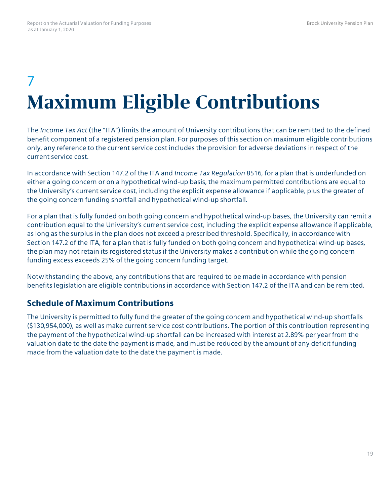## 7 **Maximum Eligible Contributions**

The *Income Tax Act* (the "ITA") limits the amount of University contributions that can be remitted to the defined benefit component of a registered pension plan. For purposes of this section on maximum eligible contributions only, any reference to the current service cost includes the provision for adverse deviations in respect of the current service cost.

In accordance with Section 147.2 of the ITA and *Income Tax Regulation* 8516, for a plan that is underfunded on either a going concern or on a hypothetical wind-up basis, the maximum permitted contributions are equal to the University's current service cost, including the explicit expense allowance if applicable, plus the greater of the going concern funding shortfall and hypothetical wind-up shortfall.

For a plan that is fully funded on both going concern and hypothetical wind-up bases, the University can remit a contribution equal to the University's current service cost, including the explicit expense allowance if applicable, as long as the surplus in the plan does not exceed a prescribed threshold. Specifically, in accordance with Section 147.2 of the ITA, for a plan that is fully funded on both going concern and hypothetical wind-up bases, the plan may not retain its registered status if the University makes a contribution while the going concern funding excess exceeds 25% of the going concern funding target.

Notwithstanding the above, any contributions that are required to be made in accordance with pension benefits legislation are eligible contributions in accordance with Section 147.2 of the ITA and can be remitted.

### **Schedule of Maximum Contributions**

The University is permitted to fully fund the greater of the going concern and hypothetical wind-up shortfalls (\$130,954,000), as well as make current service cost contributions. The portion of this contribution representing the payment of the hypothetical wind-up shortfall can be increased with interest at 2.89% per year from the valuation date to the date the payment is made, and must be reduced by the amount of any deficit funding made from the valuation date to the date the payment is made.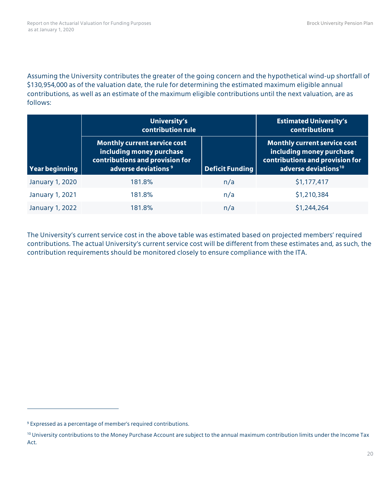Assuming the University contributes the greater of the going concern and the hypothetical wind-up shortfall of \$130,954,000 as of the valuation date, the rule for determining the estimated maximum eligible annual contributions, as well as an estimate of the maximum eligible contributions until the next valuation, are as follows:

|                        | University's<br>contribution rule                                                                                                     |                        |                                                                                                                                        |
|------------------------|---------------------------------------------------------------------------------------------------------------------------------------|------------------------|----------------------------------------------------------------------------------------------------------------------------------------|
| Year beginning         | <b>Monthly current service cost</b><br>including money purchase<br>contributions and provision for<br>adverse deviations <sup>9</sup> | <b>Deficit Funding</b> | <b>Monthly current service cost</b><br>including money purchase<br>contributions and provision for<br>adverse deviations <sup>10</sup> |
| January 1, 2020        | 181.8%                                                                                                                                | n/a                    | \$1,177,417                                                                                                                            |
| <b>January 1, 2021</b> | 181.8%                                                                                                                                | n/a                    | \$1,210,384                                                                                                                            |
| January 1, 2022        | 181.8%                                                                                                                                | n/a                    | \$1,244,264                                                                                                                            |

The University's current service cost in the above table was estimated based on projected members' required contributions. The actual University's current service cost will be different from these estimates and, as such, the contribution requirements should be monitored closely to ensure compliance with the ITA.

 $\overline{a}$ 

<span id="page-22-0"></span><sup>9</sup> Expressed as a percentage of member's required contributions.

<span id="page-22-1"></span><sup>&</sup>lt;sup>10</sup> University contributions to the Money Purchase Account are subject to the annual maximum contribution limits under the Income Tax Act.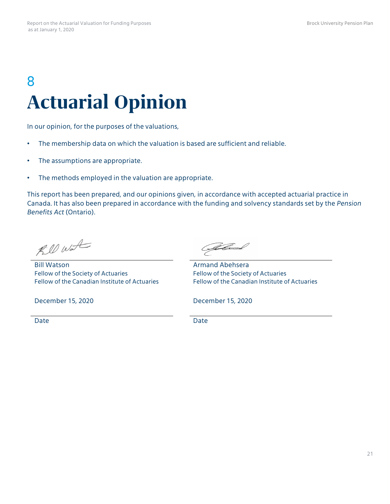## 8 **Actuarial Opinion**

In our opinion, for the purposes of the valuations,

- The membership data on which the valuation is based are sufficient and reliable.
- The assumptions are appropriate.
- The methods employed in the valuation are appropriate.

This report has been prepared, and our opinions given, in accordance with accepted actuarial practice in Canada. It has also been prepared in accordance with the funding and solvency standards set by the *Pension Benefits Act* (Ontario).

Rill Water

Bill Watson Fellow of the Society of Actuaries Fellow of the Canadian Institute of Actuaries

Aland

Armand Abehsera Fellow of the Society of Actuaries Fellow of the Canadian Institute of Actuaries

December 15, 2020 December 15, 2020

Date **Date** Date **Date** Date **Date**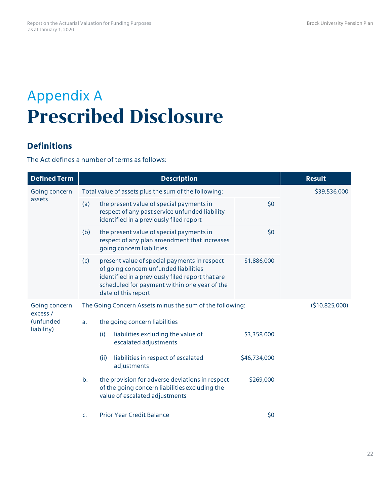## Appendix A **Prescribed Disclosure**

#### **Definitions**

The Act defines a number of terms as follows:

| <b>Defined Term</b>       | <b>Description</b>                                                                                                                                                                                                                     | <b>Result</b>  |
|---------------------------|----------------------------------------------------------------------------------------------------------------------------------------------------------------------------------------------------------------------------------------|----------------|
| Going concern<br>assets   | Total value of assets plus the sum of the following:                                                                                                                                                                                   | \$39,536,000   |
|                           | the present value of special payments in<br>\$0<br>(a)<br>respect of any past service unfunded liability<br>identified in a previously filed report                                                                                    |                |
|                           | \$0<br>the present value of special payments in<br>(b)<br>respect of any plan amendment that increases<br>going concern liabilities                                                                                                    |                |
|                           | (c)<br>present value of special payments in respect<br>\$1,886,000<br>of going concern unfunded liabilities<br>identified in a previously filed report that are<br>scheduled for payment within one year of the<br>date of this report |                |
| Going concern<br>excess / | The Going Concern Assets minus the sum of the following:                                                                                                                                                                               | (\$10,825,000) |
| (unfunded                 | the going concern liabilities<br>a.                                                                                                                                                                                                    |                |
| liability)                | liabilities excluding the value of<br>\$3,358,000<br>(i)<br>escalated adjustments                                                                                                                                                      |                |
|                           | liabilities in respect of escalated<br>\$46,734,000<br>(ii)<br>adjustments                                                                                                                                                             |                |
|                           | the provision for adverse deviations in respect<br>\$269,000<br>b.<br>of the going concern liabilities excluding the<br>value of escalated adjustments                                                                                 |                |
|                           | \$0<br><b>Prior Year Credit Balance</b><br>$C_{\star}$                                                                                                                                                                                 |                |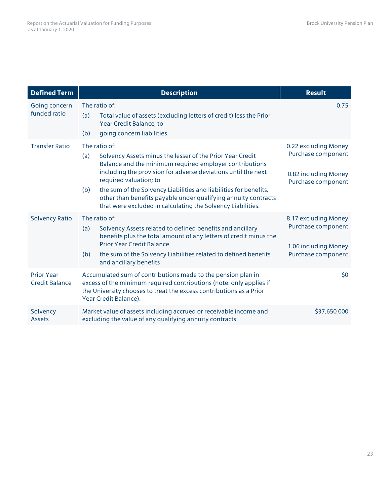| <b>Defined Term</b>                        | <b>Description</b>                                                                                                                                                                                                                                                                                                                                                                                                                                   | <b>Result</b>                                                                            |
|--------------------------------------------|------------------------------------------------------------------------------------------------------------------------------------------------------------------------------------------------------------------------------------------------------------------------------------------------------------------------------------------------------------------------------------------------------------------------------------------------------|------------------------------------------------------------------------------------------|
| Going concern<br>funded ratio              | The ratio of:<br>Total value of assets (excluding letters of credit) less the Prior<br>(a)<br>Year Credit Balance; to<br>going concern liabilities<br>(b)                                                                                                                                                                                                                                                                                            | 0.75                                                                                     |
| <b>Transfer Ratio</b>                      | The ratio of:<br>Solvency Assets minus the lesser of the Prior Year Credit<br>(a)<br>Balance and the minimum required employer contributions<br>including the provision for adverse deviations until the next<br>required valuation; to<br>the sum of the Solvency Liabilities and liabilities for benefits,<br>(b)<br>other than benefits payable under qualifying annuity contracts<br>that were excluded in calculating the Solvency Liabilities. | 0.22 excluding Money<br>Purchase component<br>0.82 including Money<br>Purchase component |
| <b>Solvency Ratio</b>                      | The ratio of:<br>Solvency Assets related to defined benefits and ancillary<br>(a)<br>benefits plus the total amount of any letters of credit minus the<br>Prior Year Credit Balance<br>the sum of the Solvency Liabilities related to defined benefits<br>(b)<br>and ancillary benefits                                                                                                                                                              | 8.17 excluding Money<br>Purchase component<br>1.06 including Money<br>Purchase component |
| <b>Prior Year</b><br><b>Credit Balance</b> | Accumulated sum of contributions made to the pension plan in<br>excess of the minimum required contributions (note: only applies if<br>the University chooses to treat the excess contributions as a Prior<br>Year Credit Balance).                                                                                                                                                                                                                  | \$0                                                                                      |
| Solvency<br><b>Assets</b>                  | Market value of assets including accrued or receivable income and<br>excluding the value of any qualifying annuity contracts.                                                                                                                                                                                                                                                                                                                        | \$37,650,000                                                                             |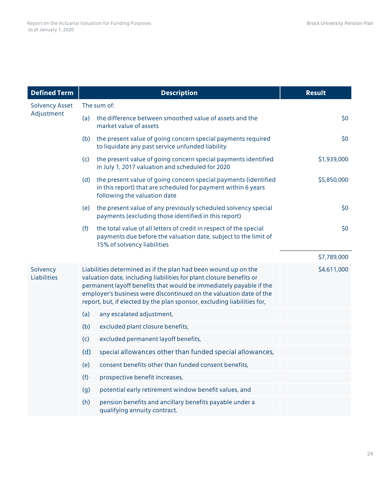| <b>Defined Term</b>     |     | <b>Description</b>                                                                                                                                                                                                                                                                                                                                           | <b>Result</b> |
|-------------------------|-----|--------------------------------------------------------------------------------------------------------------------------------------------------------------------------------------------------------------------------------------------------------------------------------------------------------------------------------------------------------------|---------------|
| <b>Solvency Asset</b>   |     | The sum of:                                                                                                                                                                                                                                                                                                                                                  |               |
| Adjustment              | (a) | the difference between smoothed value of assets and the<br>market value of assets                                                                                                                                                                                                                                                                            | \$0           |
|                         | (b) | the present value of going concern special payments required<br>to liquidate any past service unfunded liability                                                                                                                                                                                                                                             | \$0           |
|                         | (c) | the present value of going concern special payments identified<br>in July 1, 2017 valuation and scheduled for 2020                                                                                                                                                                                                                                           | \$1,939,000   |
|                         | (d) | the present value of going concern special payments (identified<br>in this report) that are scheduled for payment within 6 years<br>following the valuation date                                                                                                                                                                                             | \$5,850,000   |
|                         | (e) | the present value of any previously scheduled solvency special<br>payments (excluding those identified in this report)                                                                                                                                                                                                                                       | \$0           |
|                         | (f) | the total value of all letters of credit in respect of the special<br>payments due before the valuation date, subject to the limit of<br>15% of solvency liabilities                                                                                                                                                                                         | \$0           |
|                         |     |                                                                                                                                                                                                                                                                                                                                                              | \$7,789,000   |
| Solvency<br>Liabilities |     | Liabilities determined as if the plan had been wound up on the<br>valuation date, including liabilities for plant closure benefits or<br>permanent layoff benefits that would be immediately payable if the<br>employer's business were discontinued on the valuation date of the<br>report, but, if elected by the plan sponsor, excluding liabilities for, | \$4,611,000   |
|                         | (a) | any escalated adjustment,                                                                                                                                                                                                                                                                                                                                    |               |
|                         | (b) | excluded plant closure benefits,                                                                                                                                                                                                                                                                                                                             |               |
|                         | (c) | excluded permanent layoff benefits,                                                                                                                                                                                                                                                                                                                          |               |
|                         | (d) | special allowances other than funded special allowances,                                                                                                                                                                                                                                                                                                     |               |
|                         | (e) | consent benefits other than funded consent benefits,                                                                                                                                                                                                                                                                                                         |               |
|                         | (f) | prospective benefit increases,                                                                                                                                                                                                                                                                                                                               |               |
|                         | (g) | potential early retirement window benefit values, and                                                                                                                                                                                                                                                                                                        |               |
|                         | (h) | pension benefits and ancillary benefits payable under a<br>qualifying annuity contract.                                                                                                                                                                                                                                                                      |               |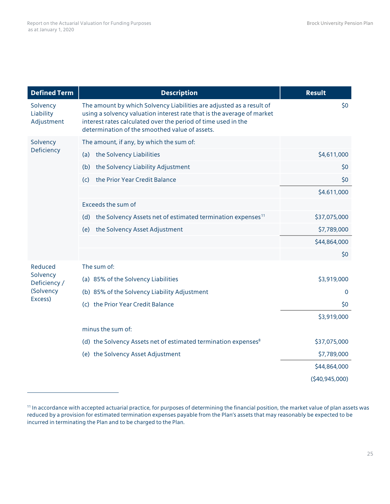$\overline{a}$ 

| <b>Defined Term</b>                 | <b>Description</b>                                                                                                                                                                                                                                                | <b>Result</b>   |
|-------------------------------------|-------------------------------------------------------------------------------------------------------------------------------------------------------------------------------------------------------------------------------------------------------------------|-----------------|
| Solvency<br>Liability<br>Adjustment | The amount by which Solvency Liabilities are adjusted as a result of<br>using a solvency valuation interest rate that is the average of market<br>interest rates calculated over the period of time used in the<br>determination of the smoothed value of assets. | \$0             |
| Solvency                            | The amount, if any, by which the sum of:                                                                                                                                                                                                                          |                 |
| Deficiency                          | (a) the Solvency Liabilities                                                                                                                                                                                                                                      | \$4,611,000     |
|                                     | the Solvency Liability Adjustment<br>(b)                                                                                                                                                                                                                          | \$0             |
|                                     | the Prior Year Credit Balance<br>(c)                                                                                                                                                                                                                              | \$0             |
|                                     |                                                                                                                                                                                                                                                                   | \$4.611,000     |
|                                     | Exceeds the sum of                                                                                                                                                                                                                                                |                 |
|                                     | the Solvency Assets net of estimated termination expenses <sup>11</sup><br>(d)                                                                                                                                                                                    | \$37,075,000    |
|                                     | (e) the Solvency Asset Adjustment                                                                                                                                                                                                                                 | \$7,789,000     |
|                                     |                                                                                                                                                                                                                                                                   | \$44,864,000    |
|                                     |                                                                                                                                                                                                                                                                   | \$0             |
| Reduced                             | The sum of:                                                                                                                                                                                                                                                       |                 |
| Solvency<br>Deficiency /            | (a) 85% of the Solvency Liabilities                                                                                                                                                                                                                               | \$3,919,000     |
| (Solvency                           | (b) 85% of the Solvency Liability Adjustment                                                                                                                                                                                                                      | $\mathbf{0}$    |
| Excess)                             | (c) the Prior Year Credit Balance                                                                                                                                                                                                                                 | \$0             |
|                                     |                                                                                                                                                                                                                                                                   | \$3,919,000     |
|                                     | minus the sum of:                                                                                                                                                                                                                                                 |                 |
|                                     | (d) the Solvency Assets net of estimated termination expenses <sup>8</sup>                                                                                                                                                                                        | \$37,075,000    |
|                                     | (e) the Solvency Asset Adjustment                                                                                                                                                                                                                                 | \$7,789,000     |
|                                     |                                                                                                                                                                                                                                                                   | \$44,864,000    |
|                                     |                                                                                                                                                                                                                                                                   | (540, 945, 000) |

<span id="page-27-0"></span><sup>&</sup>lt;sup>11</sup> In accordance with accepted actuarial practice, for purposes of determining the financial position, the market value of plan assets was reduced by a provision for estimated termination expenses payable from the Plan's assets that may reasonably be expected to be incurred in terminating the Plan and to be charged to the Plan.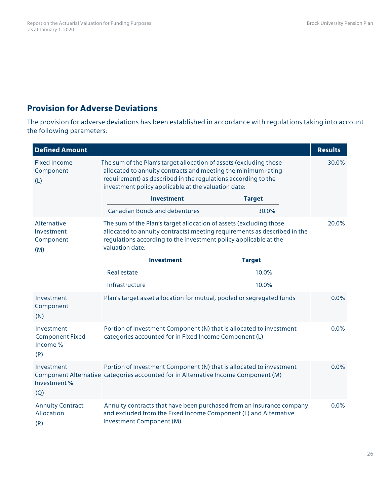### **Provision for Adverse Deviations**

The provision for adverse deviations has been established in accordance with regulations taking into account the following parameters:

| <b>Defined Amount</b>                                   |                                                                                                                                                                                                                                                             |                                                                                                                                          | <b>Results</b> |
|---------------------------------------------------------|-------------------------------------------------------------------------------------------------------------------------------------------------------------------------------------------------------------------------------------------------------------|------------------------------------------------------------------------------------------------------------------------------------------|----------------|
| <b>Fixed Income</b><br>Component<br>(L)                 | The sum of the Plan's target allocation of assets (excluding those<br>allocated to annuity contracts and meeting the minimum rating<br>requirement) as described in the regulations according to the<br>investment policy applicable at the valuation date: |                                                                                                                                          | 30.0%          |
|                                                         | <b>Investment</b>                                                                                                                                                                                                                                           | <b>Target</b>                                                                                                                            |                |
|                                                         | <b>Canadian Bonds and debentures</b>                                                                                                                                                                                                                        | 30.0%                                                                                                                                    |                |
| Alternative<br>Investment<br>Component<br>(M)           | The sum of the Plan's target allocation of assets (excluding those<br>regulations according to the investment policy applicable at the<br>valuation date:                                                                                                   | allocated to annuity contracts) meeting requirements as described in the                                                                 | 20.0%          |
|                                                         | <b>Investment</b>                                                                                                                                                                                                                                           | <b>Target</b>                                                                                                                            |                |
|                                                         | <b>Real estate</b>                                                                                                                                                                                                                                          | 10.0%                                                                                                                                    |                |
|                                                         | Infrastructure                                                                                                                                                                                                                                              | 10.0%                                                                                                                                    |                |
| Investment<br>Component<br>(N)                          |                                                                                                                                                                                                                                                             | Plan's target asset allocation for mutual, pooled or segregated funds                                                                    | 0.0%           |
| Investment<br><b>Component Fixed</b><br>Income %<br>(P) | categories accounted for in Fixed Income Component (L)                                                                                                                                                                                                      | Portion of Investment Component (N) that is allocated to investment                                                                      | 0.0%           |
| Investment<br>Investment %<br>(Q)                       | Component Alternative categories accounted for in Alternative Income Component (M)                                                                                                                                                                          | Portion of Investment Component (N) that is allocated to investment                                                                      | 0.0%           |
| <b>Annuity Contract</b><br>Allocation<br>(R)            | Investment Component (M)                                                                                                                                                                                                                                    | Annuity contracts that have been purchased from an insurance company<br>and excluded from the Fixed Income Component (L) and Alternative | 0.0%           |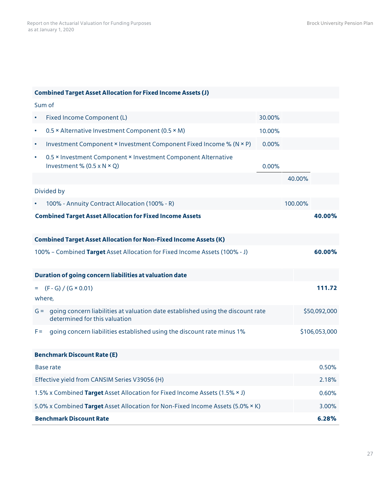#### **Combined Target Asset Allocation for Fixed Income Assets (J)**

|                                                                              | Sum of                                                                                                           |          |               |              |
|------------------------------------------------------------------------------|------------------------------------------------------------------------------------------------------------------|----------|---------------|--------------|
| $\bullet$                                                                    | Fixed Income Component (L)                                                                                       | 30.00%   |               |              |
| $\bullet$                                                                    | 0.5 × Alternative Investment Component (0.5 × M)                                                                 | 10.00%   |               |              |
| ٠                                                                            | Investment Component × Investment Component Fixed Income % (N × P)                                               | $0.00\%$ |               |              |
| $\bullet$                                                                    | 0.5 × Investment Component × Investment Component Alternative<br>Investment % $(0.5 \times N \times Q)$          | 0.00%    |               |              |
|                                                                              |                                                                                                                  |          | 40.00%        |              |
|                                                                              | Divided by                                                                                                       |          |               |              |
|                                                                              | 100% - Annuity Contract Allocation (100% - R)                                                                    |          | 100.00%       |              |
|                                                                              | <b>Combined Target Asset Allocation for Fixed Income Assets</b>                                                  |          |               | 40.00%       |
|                                                                              | <b>Combined Target Asset Allocation for Non-Fixed Income Assets (K)</b>                                          |          |               |              |
|                                                                              | 100% - Combined Target Asset Allocation for Fixed Income Assets (100% - J)                                       |          |               | 60.00%       |
|                                                                              |                                                                                                                  |          |               |              |
|                                                                              | Duration of going concern liabilities at valuation date                                                          |          |               |              |
|                                                                              | $(F - G) / (G \times 0.01)$<br>where,                                                                            |          |               | 111.72       |
| $G =$                                                                        | going concern liabilities at valuation date established using the discount rate<br>determined for this valuation |          |               | \$50,092,000 |
| going concern liabilities established using the discount rate minus 1%<br>F= |                                                                                                                  |          | \$106,053,000 |              |
|                                                                              | <b>Benchmark Discount Rate (E)</b>                                                                               |          |               |              |
|                                                                              | Base rate                                                                                                        |          |               | 0.50%        |
|                                                                              | Effective yield from CANSIM Series V39056 (H)                                                                    |          |               | 2.18%        |
|                                                                              | 1.5% x Combined Target Asset Allocation for Fixed Income Assets (1.5% × J)                                       |          |               | 0.60%        |
|                                                                              | 5.0% x Combined Target Asset Allocation for Non-Fixed Income Assets (5.0% × K)                                   |          |               | 3.00%        |
|                                                                              | <b>Benchmark Discount Rate</b>                                                                                   |          |               | 6.28%        |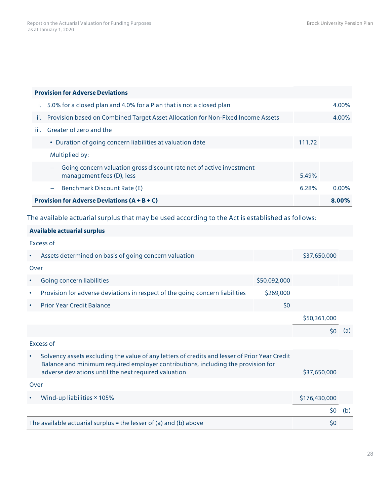| <b>Provision for Adverse Deviations</b>                                                                                |        |          |
|------------------------------------------------------------------------------------------------------------------------|--------|----------|
| 5.0% for a closed plan and 4.0% for a Plan that is not a closed plan                                                   |        | 4.00%    |
| Provision based on Combined Target Asset Allocation for Non-Fixed Income Assets<br>Ϊİ.                                 |        | 4.00%    |
| iii.<br>Greater of zero and the                                                                                        |        |          |
| • Duration of going concern liabilities at valuation date                                                              | 111.72 |          |
| Multiplied by:                                                                                                         |        |          |
| Going concern valuation gross discount rate net of active investment<br>$\qquad \qquad -$<br>management fees (D), less | 5.49%  |          |
| Benchmark Discount Rate (E)<br>$\frac{1}{2}$                                                                           | 6.28%  | $0.00\%$ |
| <b>Provision for Adverse Deviations (<math>A + B + C</math>)</b>                                                       |        |          |

The available actuarial surplus that may be used according to the Act is established as follows:

| Available actuarial surplus |  |  |
|-----------------------------|--|--|
|-----------------------------|--|--|

Excess of

| $\bullet$ | Assets determined on basis of going concern valuation                                                                                                                                                                                     |              | \$37,650,000 |     |
|-----------|-------------------------------------------------------------------------------------------------------------------------------------------------------------------------------------------------------------------------------------------|--------------|--------------|-----|
| Over      |                                                                                                                                                                                                                                           |              |              |     |
|           | Going concern liabilities                                                                                                                                                                                                                 | \$50,092,000 |              |     |
| $\bullet$ | Provision for adverse deviations in respect of the going concern liabilities                                                                                                                                                              | \$269,000    |              |     |
| $\bullet$ | <b>Prior Year Credit Balance</b>                                                                                                                                                                                                          | \$0          |              |     |
|           |                                                                                                                                                                                                                                           |              | \$50,361,000 |     |
|           |                                                                                                                                                                                                                                           |              | S0           | (a) |
|           | Excess of                                                                                                                                                                                                                                 |              |              |     |
| $\bullet$ | Solvency assets excluding the value of any letters of credits and lesser of Prior Year Credit<br>Balance and minimum required employer contributions, including the provision for<br>adverse deviations until the next required valuation |              |              |     |
|           |                                                                                                                                                                                                                                           |              | \$37,650,000 |     |

Over

| $\bullet$ | Wind-up liabilities × 105%                                        | \$176,430,000 |  |
|-----------|-------------------------------------------------------------------|---------------|--|
|           |                                                                   | S0            |  |
|           | The available actuarial surplus = the lesser of (a) and (b) above | S0            |  |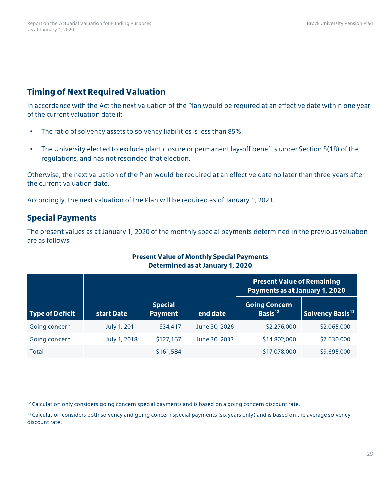## **Timing of Next Required Valuation**

In accordance with the Act the next valuation of the Plan would be required at an effective date within one year of the current valuation date if:

- The ratio of solvency assets to solvency liabilities is less than 85%.
- The University elected to exclude plant closure or permanent lay-off benefits under Section 5(18) of the regulations, and has not rescinded that election.

Otherwise, the next valuation of the Plan would be required at an effective date no later than three years after the current valuation date.

Accordingly, the next valuation of the Plan will be required as of January 1, 2023.

### **Special Payments**

 $\overline{a}$ 

The present values as at January 1, 2020 of the monthly special payments determined in the previous valuation are as follows:

#### **Present Value of Monthly Special Payments Determined as at January 1, 2020**

|                        |              |                                  |               | <b>Present Value of Remaining</b><br>Payments as at January 1, 2020 |                              |
|------------------------|--------------|----------------------------------|---------------|---------------------------------------------------------------------|------------------------------|
| <b>Type of Deficit</b> | start Date   | <b>Special</b><br><b>Payment</b> | end date      | <b>Going Concern</b><br>Basis <sup>12</sup>                         | Solvency Basis <sup>13</sup> |
| Going concern          | July 1, 2011 | \$34,417                         | June 30, 2026 | \$2,276,000                                                         | \$2,065,000                  |
| Going concern          | July 1, 2018 | \$127,167                        | June 30, 2033 | \$14,802,000                                                        | \$7,630,000                  |
| Total                  |              | \$161,584                        |               | \$17,078,000                                                        | \$9,695,000                  |

<span id="page-31-0"></span><sup>&</sup>lt;sup>12</sup> Calculation only considers going concern special payments and is based on a going concern discount rate.

<span id="page-31-1"></span><sup>&</sup>lt;sup>13</sup> Calculation considers both solvency and going concern special payments (six years only) and is based on the average solvency discount rate.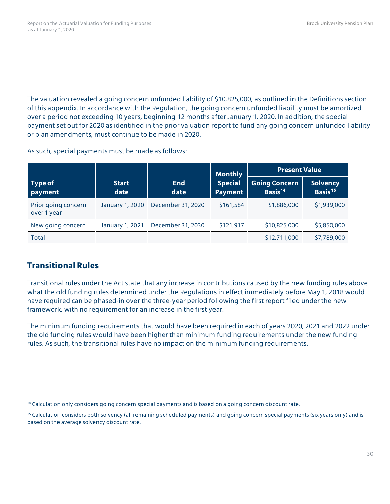The valuation revealed a going concern unfunded liability of \$10,825,000, as outlined in the Definitions section of this appendix. In accordance with the Regulation, the going concern unfunded liability must be amortized over a period not exceeding 10 years, beginning 12 months after January 1, 2020. In addition, the special payment set out for 2020 as identified in the prior valuation report to fund any going concern unfunded liability or plan amendments, must continue to be made in 2020.

As such, special payments must be made as follows:

|                                    |                      |                    | <b>Monthly</b>                   | <b>Present Value</b>                        |                                        |  |
|------------------------------------|----------------------|--------------------|----------------------------------|---------------------------------------------|----------------------------------------|--|
| <b>Type of</b><br>payment          | <b>Start</b><br>date | <b>End</b><br>date | <b>Special</b><br><b>Payment</b> | <b>Going Concern</b><br>Basis <sup>14</sup> | <b>Solvency</b><br>Basis <sup>15</sup> |  |
| Prior going concern<br>over 1 year | January 1, 2020      | December 31, 2020  | \$161,584                        | \$1,886,000                                 | \$1,939,000                            |  |
| New going concern                  | January 1, 2021      | December 31, 2030  | \$121,917                        | \$10,825,000                                | \$5,850,000                            |  |
| <b>Total</b>                       |                      |                    |                                  | \$12,711,000                                | \$7,789,000                            |  |

#### **Transitional Rules**

 $\overline{a}$ 

Transitional rules under the Act state that any increase in contributions caused by the new funding rules above what the old funding rules determined under the Regulations in effect immediately before May 1, 2018 would have required can be phased-in over the three-year period following the first report filed under the new framework, with no requirement for an increase in the first year.

The minimum funding requirements that would have been required in each of years 2020, 2021 and 2022 under the old funding rules would have been higher than minimum funding requirements under the new funding rules. As such, the transitional rules have no impact on the minimum funding requirements.

<span id="page-32-0"></span><sup>&</sup>lt;sup>14</sup> Calculation only considers going concern special payments and is based on a going concern discount rate.

<span id="page-32-1"></span><sup>&</sup>lt;sup>15</sup> Calculation considers both solvency (all remaining scheduled payments) and going concern special payments (six years only) and is based on the average solvency discount rate.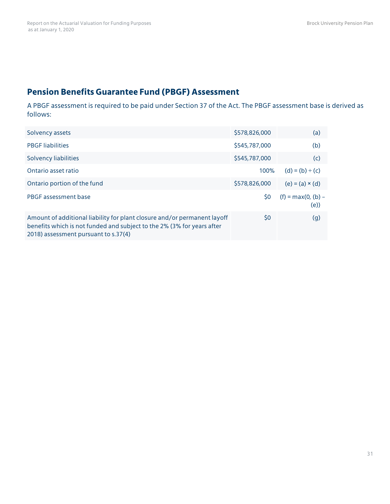### **Pension Benefits Guarantee Fund (PBGF) Assessment**

A PBGF assessment is required to be paid under Section 37 of the Act. The PBGF assessment base is derived as follows:

| Solvency assets                                                                                                                                                                            | \$578,826,000 | (a)                         |
|--------------------------------------------------------------------------------------------------------------------------------------------------------------------------------------------|---------------|-----------------------------|
| <b>PBGF</b> liabilities                                                                                                                                                                    | \$545,787,000 | (b)                         |
| Solvency liabilities                                                                                                                                                                       | \$545,787,000 | (c)                         |
| Ontario asset ratio                                                                                                                                                                        | 100%          | $(d) = (b) \div (c)$        |
| Ontario portion of the fund                                                                                                                                                                | \$578,826,000 | $(e) = (a) \times (d)$      |
| PBGF assessment base                                                                                                                                                                       | \$0           | $(f) = max(0, (b) -$<br>(e) |
| Amount of additional liability for plant closure and/or permanent layoff<br>benefits which is not funded and subject to the 2% (3% for years after<br>2018) assessment pursuant to s.37(4) | \$0           | (g)                         |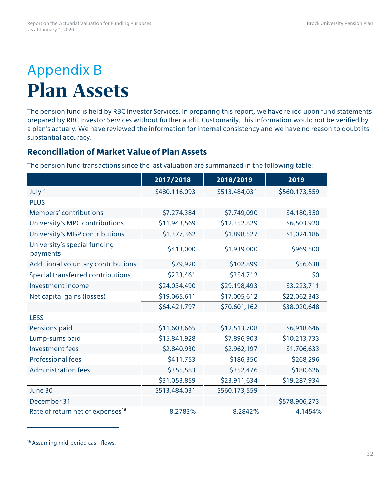## Appendix B **Plan Assets**

The pension fund is held by RBC Investor Services. In preparing this report, we have relied upon fund statements prepared by RBC Investor Services without further audit. Customarily, this information would not be verified by a plan's actuary. We have reviewed the information for internal consistency and we have no reason to doubt its substantial accuracy.

### **Reconciliation of Market Value of Plan Assets**

The pension fund transactions since the last valuation are summarized in the following table:

|                                              | 2017/2018     | 2018/2019     | 2019          |
|----------------------------------------------|---------------|---------------|---------------|
| July 1                                       | \$480,116,093 | \$513,484,031 | \$560,173,559 |
| <b>PLUS</b>                                  |               |               |               |
| Members' contributions                       | \$7,274,384   | \$7,749,090   | \$4,180,350   |
| University's MPC contributions               | \$11,943,569  | \$12,352,829  | \$6,503,920   |
| University's MGP contributions               | \$1,377,362   | \$1,898,527   | \$1,024,186   |
| University's special funding<br>payments     | \$413,000     | \$1,939,000   | \$969,500     |
| Additional voluntary contributions           | \$79,920      | \$102,899     | \$56,638      |
| Special transferred contributions            | \$233,461     | \$354,712     | \$0           |
| Investment income                            | \$24,034,490  | \$29,198,493  | \$3,223,711   |
| Net capital gains (losses)                   | \$19,065,611  | \$17,005,612  | \$22,062,343  |
|                                              | \$64,421,797  | \$70,601,162  | \$38,020,648  |
| <b>LESS</b>                                  |               |               |               |
| Pensions paid                                | \$11,603,665  | \$12,513,708  | \$6,918,646   |
| Lump-sums paid                               | \$15,841,928  | \$7,896,903   | \$10,213,733  |
| Investment fees                              | \$2,840,930   | \$2,962,197   | \$1,706,633   |
| <b>Professional fees</b>                     | \$411,753     | \$186,350     | \$268,296     |
| <b>Administration fees</b>                   | \$355,583     | \$352,476     | \$180,626     |
|                                              | \$31,053,859  | \$23,911,634  | \$19,287,934  |
| June 30                                      | \$513,484,031 | \$560,173,559 |               |
| December 31                                  |               |               | \$578,906,273 |
| Rate of return net of expenses <sup>16</sup> | 8.2783%       | 8.2842%       | 4.1454%       |

<span id="page-34-0"></span><sup>16</sup> Assuming mid-period cash flows.

 $\overline{a}$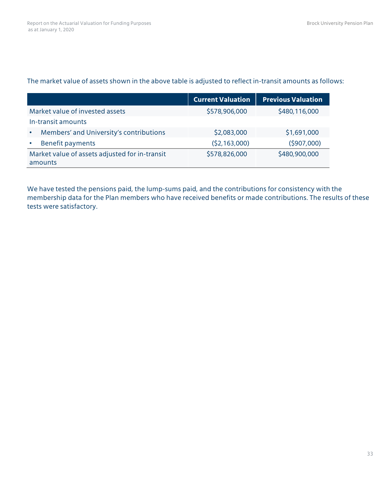#### The market value of assets shown in the above table is adjusted to reflect in-transit amounts as follows:

|                                                           | <b>Current Valuation</b> | <b>Previous Valuation</b> |
|-----------------------------------------------------------|--------------------------|---------------------------|
| Market value of invested assets                           | \$578,906,000            | \$480,116,000             |
| In-transit amounts                                        |                          |                           |
| Members' and University's contributions                   | \$2,083,000              | \$1,691,000               |
| Benefit payments                                          | (52, 163, 000)           | (5907,000)                |
| Market value of assets adjusted for in-transit<br>amounts | \$578,826,000            | \$480,900,000             |

We have tested the pensions paid, the lump-sums paid, and the contributions for consistency with the membership data for the Plan members who have received benefits or made contributions. The results of these tests were satisfactory.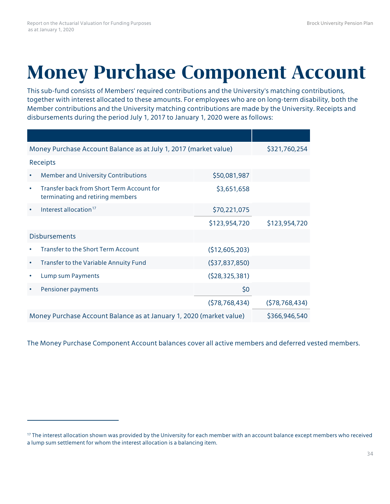## **Money Purchase Component Account**

This sub-fund consists of Members' required contributions and the University's matching contributions, together with interest allocated to these amounts. For employees who are on long-term disability, both the Member contributions and the University matching contributions are made by the University. Receipts and disbursements during the period July 1, 2017 to January 1, 2020 were as follows:

| Money Purchase Account Balance as at July 1, 2017 (market value)                           |                 | \$321,760,254   |
|--------------------------------------------------------------------------------------------|-----------------|-----------------|
| Receipts                                                                                   |                 |                 |
| <b>Member and University Contributions</b><br>$\bullet$                                    | \$50,081,987    |                 |
| Transfer back from Short Term Account for<br>$\bullet$<br>terminating and retiring members | \$3,651,658     |                 |
| Interest allocation <sup>17</sup>                                                          | \$70,221,075    |                 |
|                                                                                            | \$123,954,720   | \$123,954,720   |
| <b>Disbursements</b>                                                                       |                 |                 |
| <b>Transfer to the Short Term Account</b>                                                  | (\$12,605,203)  |                 |
| Transfer to the Variable Annuity Fund<br>$\bullet$                                         | (537,837,850)   |                 |
| Lump sum Payments<br>$\bullet$                                                             | (528, 325, 381) |                 |
| Pensioner payments<br>٠                                                                    | \$0             |                 |
|                                                                                            | (578, 768, 434) | (578, 768, 434) |
| Money Purchase Account Balance as at January 1, 2020 (market value)                        | \$366,946,540   |                 |

The Money Purchase Component Account balances cover all active members and deferred vested members.

<span id="page-36-0"></span><sup>&</sup>lt;sup>17</sup> The interest allocation shown was provided by the University for each member with an account balance except members who received a lump sum settlement for whom the interest allocation is a balancing item.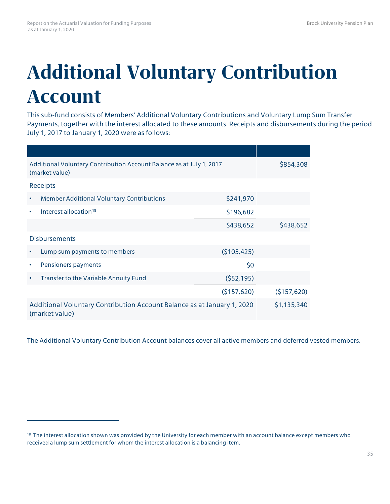## **Additional Voluntary Contribution Account**

This sub-fund consists of Members' Additional Voluntary Contributions and Voluntary Lump Sum Transfer Payments, together with the interest allocated to these amounts. Receipts and disbursements during the period July 1, 2017 to January 1, 2020 were as follows:

| Additional Voluntary Contribution Account Balance as at July 1, 2017<br>(market value)    | \$854,308   |             |
|-------------------------------------------------------------------------------------------|-------------|-------------|
| Receipts                                                                                  |             |             |
| <b>Member Additional Voluntary Contributions</b><br>$\bullet$                             | \$241,970   |             |
| Interest allocation <sup>18</sup><br>$\bullet$                                            | \$196,682   |             |
|                                                                                           | \$438,652   | \$438,652   |
| <b>Disbursements</b>                                                                      |             |             |
| Lump sum payments to members                                                              | (\$105,425) |             |
| Pensioners payments<br>$\bullet$                                                          | \$0         |             |
| Transfer to the Variable Annuity Fund<br>$\bullet$                                        | (552, 195)  |             |
|                                                                                           | (5157, 620) | (5157, 620) |
| Additional Voluntary Contribution Account Balance as at January 1, 2020<br>(market value) |             | \$1,135,340 |

The Additional Voluntary Contribution Account balances cover all active members and deferred vested members.

<span id="page-37-0"></span><sup>&</sup>lt;sup>18</sup> The interest allocation shown was provided by the University for each member with an account balance except members who received a lump sum settlement for whom the interest allocation is a balancing item.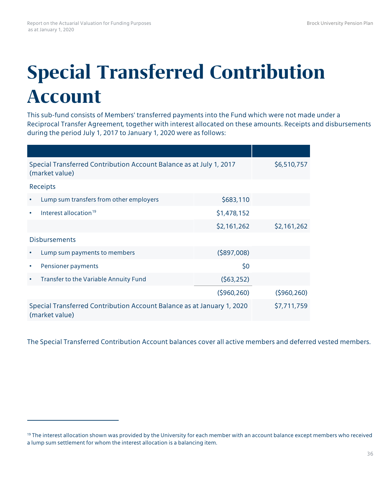## **Special Transferred Contribution Account**

This sub-fund consists of Members' transferred payments into the Fund which were not made under a Reciprocal Transfer Agreement, together with interest allocated on these amounts. Receipts and disbursements during the period July 1, 2017 to January 1, 2020 were as follows:

| Special Transferred Contribution Account Balance as at July 1, 2017<br>(market value)    | \$6,510,757    |             |
|------------------------------------------------------------------------------------------|----------------|-------------|
| Receipts                                                                                 |                |             |
| Lump sum transfers from other employers<br>$\bullet$                                     | \$683,110      |             |
| Interest allocation <sup>19</sup>                                                        | \$1,478,152    |             |
|                                                                                          | \$2,161,262    | \$2,161,262 |
| <b>Disbursements</b>                                                                     |                |             |
| Lump sum payments to members<br>$\bullet$                                                | $($ \$897,008) |             |
| Pensioner payments<br>٠                                                                  | \$0            |             |
| Transfer to the Variable Annuity Fund<br>$\bullet$                                       | (563, 252)     |             |
|                                                                                          | (5960, 260)    | (5960, 260) |
| Special Transferred Contribution Account Balance as at January 1, 2020<br>(market value) | \$7,711,759    |             |

The Special Transferred Contribution Account balances cover all active members and deferred vested members.

<span id="page-38-0"></span><sup>&</sup>lt;sup>19</sup> The interest allocation shown was provided by the University for each member with an account balance except members who received a lump sum settlement for whom the interest allocation is a balancing item.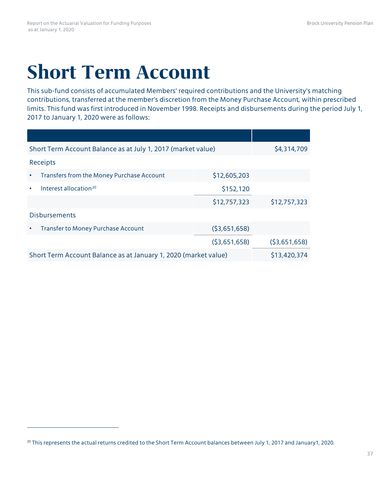## **Short Term Account**

This sub-fund consists of accumulated Members' required contributions and the University's matching contributions, transferred at the member's discretion from the Money Purchase Account, within prescribed limits. This fund was first introduced in November 1998. Receipts and disbursements during the period July 1, 2017 to January 1, 2020 were as follows:

| Short Term Account Balance as at July 1, 2017 (market value)    | \$4,314,709  |              |
|-----------------------------------------------------------------|--------------|--------------|
| Receipts                                                        |              |              |
| Transfers from the Money Purchase Account<br>$\bullet$          | \$12,605,203 |              |
| Interest allocation <sup>20</sup><br>٠                          | \$152,120    |              |
|                                                                 | \$12,757,323 | \$12,757,323 |
| <b>Disbursements</b>                                            |              |              |
| <b>Transfer to Money Purchase Account</b><br>٠                  | (53,651,658) |              |
|                                                                 | (53,651,658) | (53,651,658) |
| Short Term Account Balance as at January 1, 2020 (market value) | \$13,420,374 |              |

<span id="page-39-0"></span><sup>&</sup>lt;sup>20</sup> This represents the actual returns credited to the Short Term Account balances between July 1, 2017 and January1, 2020.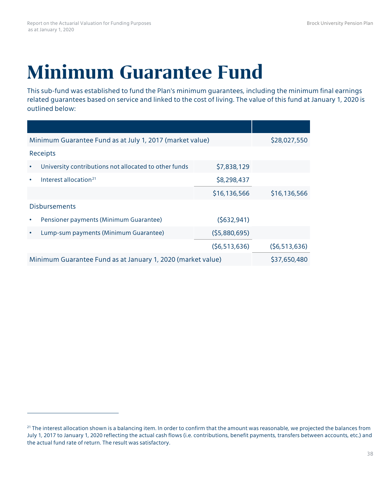## **Minimum Guarantee Fund**

This sub-fund was established to fund the Plan's minimum guarantees, including the minimum final earnings related guarantees based on service and linked to the cost of living. The value of this fund at January 1, 2020 is outlined below:

| Minimum Guarantee Fund as at July 1, 2017 (market value)    | \$28,027,550   |                |
|-------------------------------------------------------------|----------------|----------------|
| Receipts                                                    |                |                |
| University contributions not allocated to other funds       | \$7,838,129    |                |
| Interest allocation $21$                                    | \$8,298,437    |                |
|                                                             | \$16,136,566   | \$16,136,566   |
| <b>Disbursements</b>                                        |                |                |
| Pensioner payments (Minimum Guarantee)                      | (5632,941)     |                |
| Lump-sum payments (Minimum Guarantee)                       | (55,880,695)   |                |
|                                                             | (56, 513, 636) | (56, 513, 636) |
| Minimum Guarantee Fund as at January 1, 2020 (market value) | \$37,650,480   |                |

<span id="page-40-0"></span><sup>&</sup>lt;sup>21</sup> The interest allocation shown is a balancing item. In order to confirm that the amount was reasonable, we projected the balances from July 1, 2017 to January 1, 2020 reflecting the actual cash flows (i.e. contributions, benefit payments, transfers between accounts, etc.) and the actual fund rate of return. The result was satisfactory.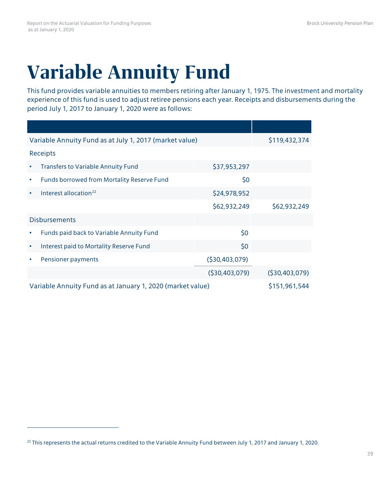# **Variable Annuity Fund**

This fund provides variable annuities to members retiring after January 1, 1975. The investment and mortality experience of this fund is used to adjust retiree pensions each year. Receipts and disbursements during the period July 1, 2017 to January 1, 2020 were as follows:

| Variable Annuity Fund as at July 1, 2017 (market value)    |                 | \$119,432,374   |
|------------------------------------------------------------|-----------------|-----------------|
| Receipts                                                   |                 |                 |
| <b>Transfers to Variable Annuity Fund</b><br>٠             | \$37,953,297    |                 |
| Funds borrowed from Mortality Reserve Fund<br>$\bullet$    | \$0             |                 |
| Interest allocation <sup>22</sup><br>$\bullet$             | \$24,978,952    |                 |
|                                                            | \$62,932,249    | \$62,932,249    |
| <b>Disbursements</b>                                       |                 |                 |
| Funds paid back to Variable Annuity Fund                   | \$0             |                 |
| Interest paid to Mortality Reserve Fund<br>٠               | \$0             |                 |
| Pensioner payments                                         | (530, 403, 079) |                 |
|                                                            | ( \$30,403,079) | (530, 403, 079) |
| Variable Annuity Fund as at January 1, 2020 (market value) |                 | \$151,961,544   |

<span id="page-41-0"></span><sup>&</sup>lt;sup>22</sup> This represents the actual returns credited to the Variable Annuity Fund between July 1, 2017 and January 1, 2020.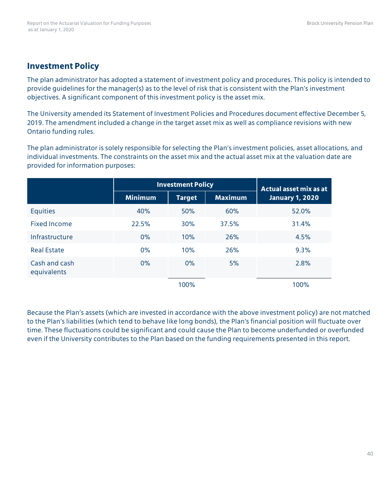### **Investment Policy**

The plan administrator has adopted a statement of investment policy and procedures. This policy is intended to provide guidelines for the manager(s) as to the level of risk that is consistent with the Plan's investment objectives. A significant component of this investment policy is the asset mix.

The University amended its Statement of Investment Policies and Procedures document effective December 5, 2019. The amendment included a change in the target asset mix as well as compliance revisions with new Ontario funding rules.

The plan administrator is solely responsible for selecting the Plan's investment policies, asset allocations, and individual investments. The constraints on the asset mix and the actual asset mix at the valuation date are provided for information purposes:

|                              | <b>Investment Policy</b> |               |                | Actual asset mix as at |
|------------------------------|--------------------------|---------------|----------------|------------------------|
|                              | <b>Minimum</b>           | <b>Target</b> | <b>Maximum</b> | <b>January 1, 2020</b> |
| <b>Equities</b>              | 40%                      | 50%           | 60%            | 52.0%                  |
| <b>Fixed Income</b>          | 22.5%                    | 30%           | 37.5%          | 31.4%                  |
| Infrastructure               | 0%                       | 10%           | 26%            | 4.5%                   |
| <b>Real Estate</b>           | 0%                       | 10%           | 26%            | 9.3%                   |
| Cash and cash<br>equivalents | 0%                       | 0%            | 5%             | 2.8%                   |
|                              |                          | 100%          |                | 100%                   |

Because the Plan's assets (which are invested in accordance with the above investment policy) are not matched to the Plan's liabilities (which tend to behave like long bonds), the Plan's financial position will fluctuate over time. These fluctuations could be significant and could cause the Plan to become underfunded or overfunded even if the University contributes to the Plan based on the funding requirements presented in this report.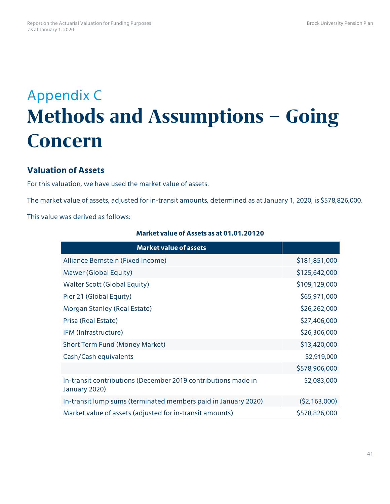## Appendix C **Methods and Assumptions – Going Concern**

### **Valuation of Assets**

For this valuation, we have used the market value of assets.

The market value of assets, adjusted for in-transit amounts, determined as at January 1, 2020, is \$578,826,000.

This value was derived as follows:

| <b>Market value of assets</b>                                                  |                |
|--------------------------------------------------------------------------------|----------------|
| Alliance Bernstein (Fixed Income)                                              | \$181,851,000  |
| Mawer (Global Equity)                                                          | \$125,642,000  |
| <b>Walter Scott (Global Equity)</b>                                            | \$109,129,000  |
| Pier 21 (Global Equity)                                                        | \$65,971,000   |
| Morgan Stanley (Real Estate)                                                   | \$26,262,000   |
| Prisa (Real Estate)                                                            | \$27,406,000   |
| IFM (Infrastructure)                                                           | \$26,306,000   |
| <b>Short Term Fund (Money Market)</b>                                          | \$13,420,000   |
| Cash/Cash equivalents                                                          | \$2,919,000    |
|                                                                                | \$578,906,000  |
| In-transit contributions (December 2019 contributions made in<br>January 2020) | \$2,083,000    |
| In-transit lump sums (terminated members paid in January 2020)                 | (52, 163, 000) |
| Market value of assets (adjusted for in-transit amounts)                       | \$578,826,000  |

### **Market value of Assets as at 01.01.20120**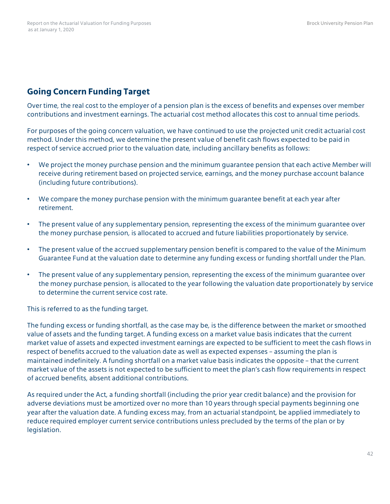## **Going Concern Funding Target**

Over time, the real cost to the employer of a pension plan is the excess of benefits and expenses over member contributions and investment earnings. The actuarial cost method allocates this cost to annual time periods.

For purposes of the going concern valuation, we have continued to use the projected unit credit actuarial cost method. Under this method, we determine the present value of benefit cash flows expected to be paid in respect of service accrued prior to the valuation date, including ancillary benefits as follows:

- We project the money purchase pension and the minimum guarantee pension that each active Member will receive during retirement based on projected service, earnings, and the money purchase account balance (including future contributions).
- We compare the money purchase pension with the minimum guarantee benefit at each year after retirement.
- The present value of any supplementary pension, representing the excess of the minimum guarantee over the money purchase pension, is allocated to accrued and future liabilities proportionately by service.
- The present value of the accrued supplementary pension benefit is compared to the value of the Minimum Guarantee Fund at the valuation date to determine any funding excess or funding shortfall under the Plan.
- The present value of any supplementary pension, representing the excess of the minimum guarantee over the money purchase pension, is allocated to the year following the valuation date proportionately by service to determine the current service cost rate.

This is referred to as the funding target.

The funding excess or funding shortfall, as the case may be, is the difference between the market or smoothed value of assets and the funding target. A funding excess on a market value basis indicates that the current market value of assets and expected investment earnings are expected to be sufficient to meet the cash flows in respect of benefits accrued to the valuation date as well as expected expenses – assuming the plan is maintained indefinitely. A funding shortfall on a market value basis indicates the opposite – that the current market value of the assets is not expected to be sufficient to meet the plan's cash flow requirements in respect of accrued benefits, absent additional contributions.

As required under the Act, a funding shortfall (including the prior year credit balance) and the provision for adverse deviations must be amortized over no more than 10 years through special payments beginning one year after the valuation date. A funding excess may, from an actuarial standpoint, be applied immediately to reduce required employer current service contributions unless precluded by the terms of the plan or by legislation.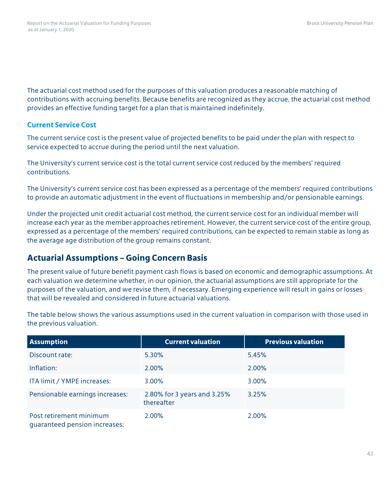The actuarial cost method used for the purposes of this valuation produces a reasonable matching of contributions with accruing benefits. Because benefits are recognized as they accrue, the actuarial cost method provides an effective funding target for a plan that is maintained indefinitely.

### **Current Service Cost**

The current service cost is the present value of projected benefits to be paid under the plan with respect to service expected to accrue during the period until the next valuation.

The University's current service cost is the total current service cost reduced by the members' required contributions.

The University's current service cost has been expressed as a percentage of the members' required contributions to provide an automatic adjustment in the event of fluctuations in membership and/or pensionable earnings.

Under the projected unit credit actuarial cost method, the current service cost for an individual member will increase each year as the member approaches retirement. However, the current service cost of the entire group, expressed as a percentage of the members' required contributions, can be expected to remain stable as long as the average age distribution of the group remains constant.

## **Actuarial Assumptions – Going Concern Basis**

The present value of future benefit payment cash flows is based on economic and demographic assumptions. At each valuation we determine whether, in our opinion, the actuarial assumptions are still appropriate for the purposes of the valuation, and we revise them, if necessary. Emerging experience will result in gains or losses that will be revealed and considered in future actuarial valuations.

| <b>Assumption</b>                                        | <b>Current valuation</b>                  | <b>Previous valuation</b> |
|----------------------------------------------------------|-------------------------------------------|---------------------------|
| Discount rate:                                           | 5.30%                                     | 5.45%                     |
| Inflation:                                               | 2.00%                                     | 2.00%                     |
| ITA limit / YMPE increases:                              | 3.00%                                     | 3.00%                     |
| Pensionable earnings increases:                          | 2.80% for 3 years and 3.25%<br>thereafter | 3.25%                     |
| Post retirement minimum<br>quaranteed pension increases: | 2.00%                                     | 2.00%                     |

The table below shows the various assumptions used in the current valuation in comparison with those used in the previous valuation.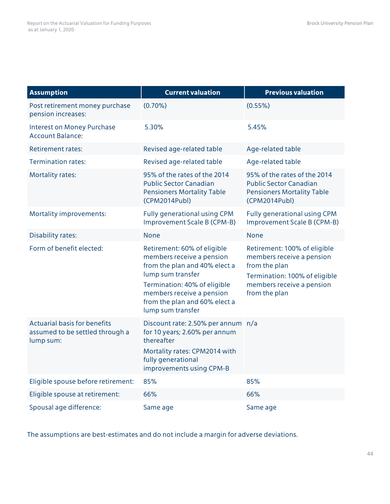| <b>Assumption</b>                                                                   | <b>Current valuation</b>                                                                                                                                                                                                          | <b>Previous valuation</b>                                                                                                                                 |  |
|-------------------------------------------------------------------------------------|-----------------------------------------------------------------------------------------------------------------------------------------------------------------------------------------------------------------------------------|-----------------------------------------------------------------------------------------------------------------------------------------------------------|--|
| Post retirement money purchase<br>pension increases:                                | $(0.70\%)$                                                                                                                                                                                                                        | $(0.55\%)$                                                                                                                                                |  |
| <b>Interest on Money Purchase</b><br><b>Account Balance:</b>                        | 5.30%                                                                                                                                                                                                                             | 5.45%                                                                                                                                                     |  |
| <b>Retirement rates:</b>                                                            | Revised age-related table                                                                                                                                                                                                         | Age-related table                                                                                                                                         |  |
| <b>Termination rates:</b>                                                           | Revised age-related table                                                                                                                                                                                                         | Age-related table                                                                                                                                         |  |
| <b>Mortality rates:</b>                                                             | 95% of the rates of the 2014<br><b>Public Sector Canadian</b><br><b>Pensioners Mortality Table</b><br>(CPM2014Publ)                                                                                                               | 95% of the rates of the 2014<br><b>Public Sector Canadian</b><br><b>Pensioners Mortality Table</b><br>(CPM2014Publ)                                       |  |
| Mortality improvements:                                                             | Fully generational using CPM<br>Improvement Scale B (CPM-B)                                                                                                                                                                       | Fully generational using CPM<br>Improvement Scale B (CPM-B)                                                                                               |  |
| <b>Disability rates:</b>                                                            | <b>None</b>                                                                                                                                                                                                                       | <b>None</b>                                                                                                                                               |  |
| Form of benefit elected:                                                            | Retirement: 60% of eligible<br>members receive a pension<br>from the plan and 40% elect a<br>lump sum transfer<br>Termination: 40% of eligible<br>members receive a pension<br>from the plan and 60% elect a<br>lump sum transfer | Retirement: 100% of eligible<br>members receive a pension<br>from the plan<br>Termination: 100% of eligible<br>members receive a pension<br>from the plan |  |
| <b>Actuarial basis for benefits</b><br>assumed to be settled through a<br>lump sum: | Discount rate: 2.50% per annum n/a<br>for 10 years; 2.60% per annum<br>thereafter<br>Mortality rates: CPM2014 with<br>fully generational<br>improvements using CPM-B                                                              |                                                                                                                                                           |  |
| Eligible spouse before retirement:                                                  | 85%                                                                                                                                                                                                                               | 85%                                                                                                                                                       |  |
| Eligible spouse at retirement:                                                      | 66%                                                                                                                                                                                                                               | 66%                                                                                                                                                       |  |
| Spousal age difference:                                                             | Same age                                                                                                                                                                                                                          | Same age                                                                                                                                                  |  |

The assumptions are best-estimates and do not include a margin for adverse deviations.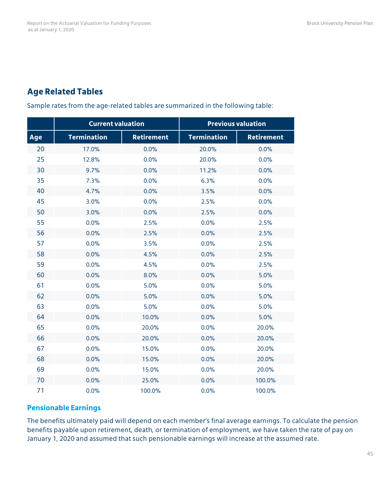## **Age Related Tables**

Sample rates from the age-related tables are summarized in the following table:

|     | <b>Current valuation</b> |                   |                    | <b>Previous valuation</b> |
|-----|--------------------------|-------------------|--------------------|---------------------------|
| Age | <b>Termination</b>       | <b>Retirement</b> | <b>Termination</b> | <b>Retirement</b>         |
| 20  | 17.0%                    | 0.0%              | 20.0%              | 0.0%                      |
| 25  | 12.8%                    | 0.0%              | 20.0%              | 0.0%                      |
| 30  | 9.7%                     | 0.0%              | 11.2%              | 0.0%                      |
| 35  | 7.3%                     | 0.0%              | 6.3%               | 0.0%                      |
| 40  | 4.7%                     | 0.0%              | 3.5%               | 0.0%                      |
| 45  | 3.0%                     | 0.0%              | 2.5%               | 0.0%                      |
| 50  | 3.0%                     | 0.0%              | 2.5%               | 0.0%                      |
| 55  | 0.0%                     | 2.5%              | 0.0%               | 2.5%                      |
| 56  | 0.0%                     | 2.5%              | 0.0%               | 2.5%                      |
| 57  | 0.0%                     | 3.5%              | 0.0%               | 2.5%                      |
| 58  | 0.0%                     | 4.5%              | 0.0%               | 2.5%                      |
| 59  | 0.0%                     | 4.5%              | 0.0%               | 2.5%                      |
| 60  | 0.0%                     | 8.0%              | 0.0%               | 5.0%                      |
| 61  | 0.0%                     | 5.0%              | 0.0%               | 5.0%                      |
| 62  | 0.0%                     | 5.0%              | 0.0%               | 5.0%                      |
| 63  | 0.0%                     | 5.0%              | 0.0%               | 5.0%                      |
| 64  | 0.0%                     | 10.0%             | 0.0%               | 5.0%                      |
| 65  | 0.0%                     | 20.0%             | 0.0%               | 20.0%                     |
| 66  | 0.0%                     | 20.0%             | 0.0%               | 20.0%                     |
| 67  | 0.0%                     | 15.0%             | 0.0%               | 20.0%                     |
| 68  | 0.0%                     | 15.0%             | 0.0%               | 20.0%                     |
| 69  | 0.0%                     | 15.0%             | 0.0%               | 20.0%                     |
| 70  | 0.0%                     | 25.0%             | 0.0%               | 100.0%                    |
| 71  | 0.0%                     | 100.0%            | 0.0%               | 100.0%                    |

### **Pensionable Earnings**

The benefits ultimately paid will depend on each member's final average earnings. To calculate the pension benefits payable upon retirement, death, or termination of employment, we have taken the rate of pay on January 1, 2020 and assumed that such pensionable earnings will increase at the assumed rate.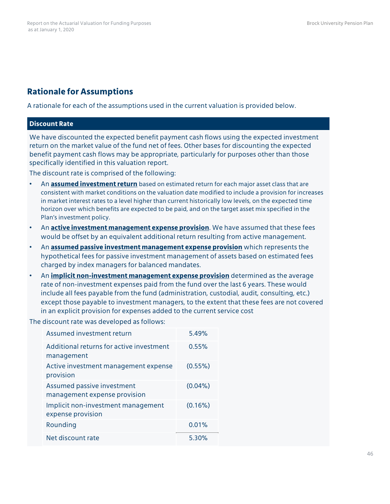## **Rationale for Assumptions**

A rationale for each of the assumptions used in the current valuation is provided below.

#### **Discount Rate**

We have discounted the expected benefit payment cash flows using the expected investment return on the market value of the fund net of fees. Other bases for discounting the expected benefit payment cash flows may be appropriate, particularly for purposes other than those specifically identified in this valuation report.

The discount rate is comprised of the following:

- An **assumed investment return** based on estimated return for each major asset class that are consistent with market conditions on the valuation date modified to include a provision for increases in market interest rates to a level higher than current historically low levels, on the expected time horizon over which benefits are expected to be paid, and on the target asset mix specified in the Plan's investment policy.
- An **active investment management expense provision**. We have assumed that these fees would be offset by an equivalent additional return resulting from active management.
- An **assumed passive investment management expense provision** which represents the hypothetical fees for passive investment management of assets based on estimated fees charged by index managers for balanced mandates.
- An **implicit non-investment management expense provision** determined as the average rate of non-investment expenses paid from the fund over the last 6 years. These would include all fees payable from the fund (administration, custodial, audit, consulting, etc.) except those payable to investment managers, to the extent that these fees are not covered in an explicit provision for expenses added to the current service cost

The discount rate was developed as follows:

| Assumed investment return                                  | 5.49%      |
|------------------------------------------------------------|------------|
| Additional returns for active investment<br>management     | 0.55%      |
| Active investment management expense<br>provision          | (0.55%)    |
| Assumed passive investment<br>management expense provision | $(0.04\%)$ |
| Implicit non-investment management<br>expense provision    | (0.16%)    |
| Rounding                                                   | 0.01%      |
| Net discount rate                                          | 5.30%      |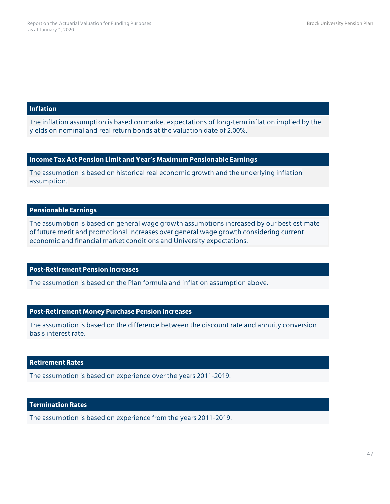#### **Inflation**

The inflation assumption is based on market expectations of long-term inflation implied by the yields on nominal and real return bonds at the valuation date of 2.00%.

#### **Income Tax Act Pension Limit and Year's Maximum Pensionable Earnings**

The assumption is based on historical real economic growth and the underlying inflation assumption.

#### **Pensionable Earnings**

The assumption is based on general wage growth assumptions increased by our best estimate of future merit and promotional increases over general wage growth considering current economic and financial market conditions and University expectations.

#### **Post-Retirement Pension Increases**

The assumption is based on the Plan formula and inflation assumption above.

#### **Post-Retirement Money Purchase Pension Increases**

The assumption is based on the difference between the discount rate and annuity conversion basis interest rate.

#### **Retirement Rates**

The assumption is based on experience over the years 2011-2019.

#### **Termination Rates**

The assumption is based on experience from the years 2011-2019.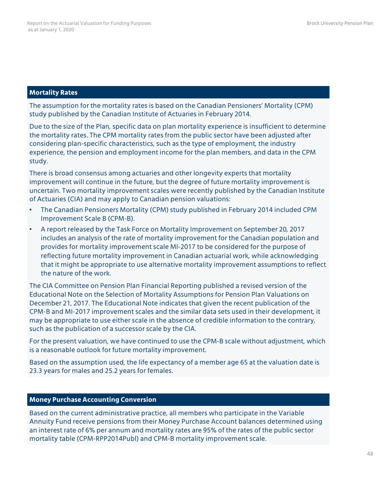#### **Mortality Rates**

The assumption for the mortality rates is based on the Canadian Pensioners' Mortality (CPM) study published by the Canadian Institute of Actuaries in February 2014.

Due to the size of the Plan, specific data on plan mortality experience is insufficient to determine the mortality rates. The CPM mortality rates from the public sector have been adjusted after considering plan-specific characteristics, such as the type of employment, the industry experience, the pension and employment income for the plan members, and data in the CPM study.

There is broad consensus among actuaries and other longevity experts that mortality improvement will continue in the future, but the degree of future mortality improvement is uncertain. Two mortality improvement scales were recently published by the Canadian Institute of Actuaries (CIA) and may apply to Canadian pension valuations:

- The Canadian Pensioners Mortality (CPM) study published in February 2014 included CPM Improvement Scale B (CPM-B).
- A report released by the Task Force on Mortality Improvement on September 20, 2017 includes an analysis of the rate of mortality improvement for the Canadian population and provides for mortality improvement scale MI-2017 to be considered for the purpose of reflecting future mortality improvement in Canadian actuarial work, while acknowledging that it might be appropriate to use alternative mortality improvement assumptions to reflect the nature of the work.

The CIA Committee on Pension Plan Financial Reporting published a revised version of the Educational Note on the Selection of Mortality Assumptions for Pension Plan Valuations on December 21, 2017. The Educational Note indicates that given the recent publication of the CPM-B and MI-2017 improvement scales and the similar data sets used in their development, it may be appropriate to use either scale in the absence of credible information to the contrary, such as the publication of a successor scale by the CIA.

For the present valuation, we have continued to use the CPM-B scale without adjustment, which is a reasonable outlook for future mortality improvement.

Based on the assumption used, the life expectancy of a member age 65 at the valuation date is 23.3 years for males and 25.2 years for females.

#### **Money Purchase Accounting Conversion**

Based on the current administrative practice, all members who participate in the Variable Annuity Fund receive pensions from their Money Purchase Account balances determined using an interest rate of 6% per annum and mortality rates are 95% of the rates of the public sector mortality table (CPM-RPP2014Publ) and CPM-B mortality improvement scale.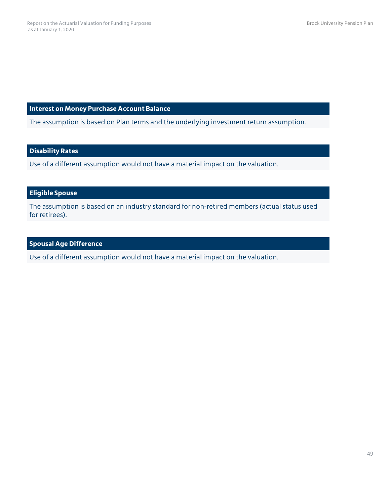**Interest on Money Purchase Account Balance**

The assumption is based on Plan terms and the underlying investment return assumption.

### **Disability Rates**

Use of a different assumption would not have a material impact on the valuation.

### **Eligible Spouse**

The assumption is based on an industry standard for non-retired members (actual status used for retirees).

### **Spousal Age Difference**

Use of a different assumption would not have a material impact on the valuation.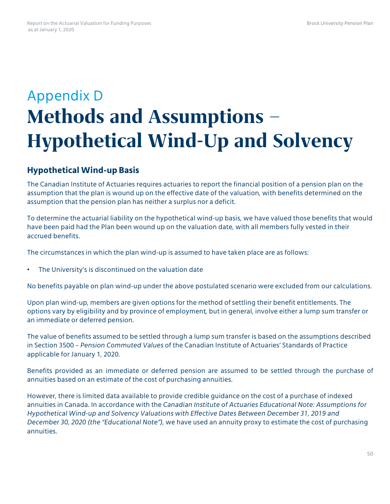## Appendix D **Methods and Assumptions – Hypothetical Wind-Up and Solvency**

## **HypotheticalWind-up Basis**

The Canadian Institute of Actuaries requires actuaries to report the financial position of a pension plan on the assumption that the plan is wound up on the effective date of the valuation, with benefits determined on the assumption that the pension plan has neither a surplus nor a deficit.

To determine the actuarial liability on the hypothetical wind-up basis, we have valued those benefits that would have been paid had the Plan been wound up on the valuation date, with all members fully vested in their accrued benefits.

The circumstances in which the plan wind-up is assumed to have taken place are as follows:

• The University's is discontinued on the valuation date

No benefits payable on plan wind-up under the above postulated scenario were excluded from our calculations.

Upon plan wind-up, members are given options for the method of settling their benefit entitlements. The options vary by eligibility and by province of employment, but in general, involve either a lump sum transfer or an immediate or deferred pension.

The value of benefits assumed to be settled through a lump sum transfer is based on the assumptions described in Section 3500 – *Pension Commuted Values* of the Canadian Institute of Actuaries' Standards of Practice applicable for January 1, 2020.

Benefits provided as an immediate or deferred pension are assumed to be settled through the purchase of annuities based on an estimate of the cost of purchasing annuities.

However, there is limited data available to provide credible guidance on the cost of a purchase of indexed annuities in Canada. In accordance with the *Canadian Institute of Actuaries Educational Note: Assumptions for Hypothetical Wind-up and Solvency Valuations with Effective Dates Between December 31, 2019 and December 30, 2020 (the "Educational Note")*, we have used an annuity proxy to estimate the cost of purchasing annuities.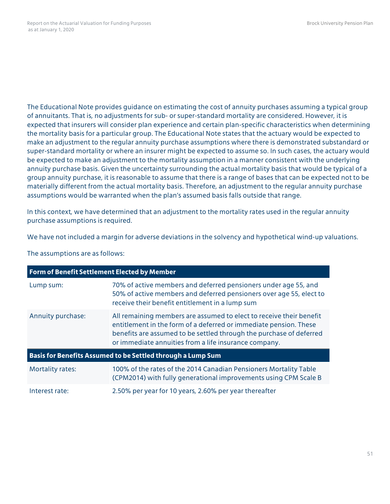The Educational Note provides guidance on estimating the cost of annuity purchases assuming a typical group of annuitants. That is, no adjustments for sub- or super-standard mortality are considered. However, it is expected that insurers will consider plan experience and certain plan-specific characteristics when determining the mortality basis for a particular group. The Educational Note states that the actuary would be expected to make an adjustment to the regular annuity purchase assumptions where there is demonstrated substandard or super-standard mortality or where an insurer might be expected to assume so. In such cases, the actuary would be expected to make an adjustment to the mortality assumption in a manner consistent with the underlying annuity purchase basis. Given the uncertainty surrounding the actual mortality basis that would be typical of a group annuity purchase, it is reasonable to assume that there is a range of bases that can be expected not to be materially different from the actual mortality basis. Therefore, an adjustment to the regular annuity purchase assumptions would be warranted when the plan's assumed basis falls outside that range.

In this context, we have determined that an adjustment to the mortality rates used in the regular annuity purchase assumptions is required.

We have not included a margin for adverse deviations in the solvency and hypothetical wind-up valuations.

The assumptions are as follows:

| <b>Form of Benefit Settlement Elected by Member</b>         |                                                                                                                                                                                                                                                                          |  |  |  |  |
|-------------------------------------------------------------|--------------------------------------------------------------------------------------------------------------------------------------------------------------------------------------------------------------------------------------------------------------------------|--|--|--|--|
| Lump sum:                                                   | 70% of active members and deferred pensioners under age 55, and<br>50% of active members and deferred pensioners over age 55, elect to<br>receive their benefit entitlement in a lump sum                                                                                |  |  |  |  |
| Annuity purchase:                                           | All remaining members are assumed to elect to receive their benefit<br>entitlement in the form of a deferred or immediate pension. These<br>benefits are assumed to be settled through the purchase of deferred<br>or immediate annuities from a life insurance company. |  |  |  |  |
| Basis for Benefits Assumed to be Settled through a Lump Sum |                                                                                                                                                                                                                                                                          |  |  |  |  |
| <b>Mortality rates:</b>                                     | 100% of the rates of the 2014 Canadian Pensioners Mortality Table<br>(CPM2014) with fully generational improvements using CPM Scale B                                                                                                                                    |  |  |  |  |
| Interest rate:                                              | 2.50% per year for 10 years, 2.60% per year thereafter                                                                                                                                                                                                                   |  |  |  |  |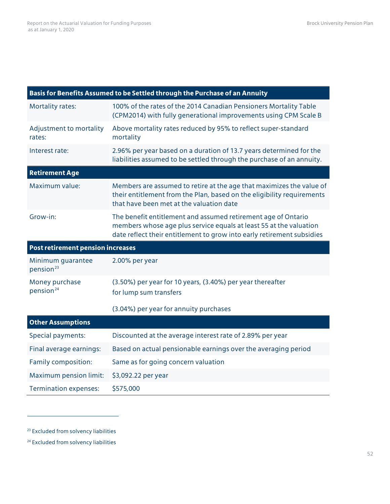|                                            | Basis for Benefits Assumed to be Settled through the Purchase of an Annuity                                                                                                                                   |
|--------------------------------------------|---------------------------------------------------------------------------------------------------------------------------------------------------------------------------------------------------------------|
| <b>Mortality rates:</b>                    | 100% of the rates of the 2014 Canadian Pensioners Mortality Table<br>(CPM2014) with fully generational improvements using CPM Scale B                                                                         |
| Adjustment to mortality<br>rates:          | Above mortality rates reduced by 95% to reflect super-standard<br>mortality                                                                                                                                   |
| Interest rate:                             | 2.96% per year based on a duration of 13.7 years determined for the<br>liabilities assumed to be settled through the purchase of an annuity.                                                                  |
| <b>Retirement Age</b>                      |                                                                                                                                                                                                               |
| Maximum value:                             | Members are assumed to retire at the age that maximizes the value of<br>their entitlement from the Plan, based on the eligibility requirements<br>that have been met at the valuation date                    |
| Grow-in:                                   | The benefit entitlement and assumed retirement age of Ontario<br>members whose age plus service equals at least 55 at the valuation<br>date reflect their entitlement to grow into early retirement subsidies |
|                                            |                                                                                                                                                                                                               |
| Post retirement pension increases          |                                                                                                                                                                                                               |
| Minimum guarantee<br>pension <sup>23</sup> | 2.00% per year                                                                                                                                                                                                |
| Money purchase<br>pension <sup>24</sup>    | (3.50%) per year for 10 years, (3.40%) per year thereafter<br>for lump sum transfers                                                                                                                          |
|                                            | (3.04%) per year for annuity purchases                                                                                                                                                                        |
| <b>Other Assumptions</b>                   |                                                                                                                                                                                                               |
| Special payments:                          | Discounted at the average interest rate of 2.89% per year                                                                                                                                                     |
| Final average earnings:                    | Based on actual pensionable earnings over the averaging period                                                                                                                                                |
| Family composition:                        | Same as for going concern valuation                                                                                                                                                                           |
| Maximum pension limit:                     | \$3,092.22 per year                                                                                                                                                                                           |

<span id="page-54-0"></span><sup>23</sup> Excluded from solvency liabilities

<span id="page-54-1"></span><sup>24</sup> Excluded from solvency liabilities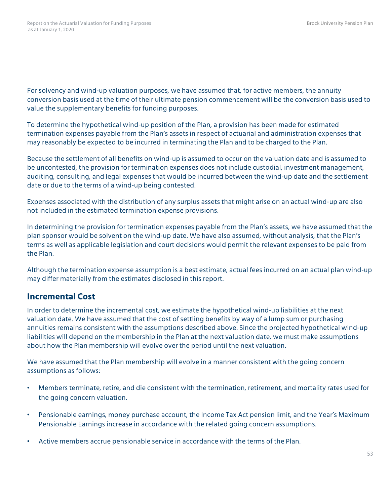For solvency and wind-up valuation purposes, we have assumed that, for active members, the annuity conversion basis used at the time of their ultimate pension commencement will be the conversion basis used to value the supplementary benefits for funding purposes.

To determine the hypothetical wind-up position of the Plan, a provision has been made for estimated termination expenses payable from the Plan's assets in respect of actuarial and administration expenses that may reasonably be expected to be incurred in terminating the Plan and to be charged to the Plan.

Because the settlement of all benefits on wind-up is assumed to occur on the valuation date and is assumed to be uncontested, the provision for termination expenses does not include custodial, investment management, auditing, consulting, and legal expenses that would be incurred between the wind-up date and the settlement date or due to the terms of a wind-up being contested.

Expenses associated with the distribution of any surplus assets that might arise on an actual wind-up are also not included in the estimated termination expense provisions.

In determining the provision for termination expenses payable from the Plan's assets, we have assumed that the plan sponsor would be solvent on the wind-up date. We have also assumed, without analysis, that the Plan's terms as well as applicable legislation and court decisions would permit the relevant expenses to be paid from the Plan.

Although the termination expense assumption is a best estimate, actual fees incurred on an actual plan wind-up may differ materially from the estimates disclosed in this report.

## **Incremental Cost**

In order to determine the incremental cost, we estimate the hypothetical wind-up liabilities at the next valuation date. We have assumed that the cost of settling benefits by way of a lump sum or purchasing annuities remains consistent with the assumptions described above. Since the projected hypothetical wind-up liabilities will depend on the membership in the Plan at the next valuation date, we must make assumptions about how the Plan membership will evolve over the period until the next valuation.

We have assumed that the Plan membership will evolve in a manner consistent with the going concern assumptions as follows:

- Members terminate, retire, and die consistent with the termination, retirement, and mortality rates used for the going concern valuation.
- Pensionable earnings, money purchase account, the Income Tax Act pension limit, and the Year's Maximum Pensionable Earnings increase in accordance with the related going concern assumptions.
- Active members accrue pensionable service in accordance with the terms of the Plan.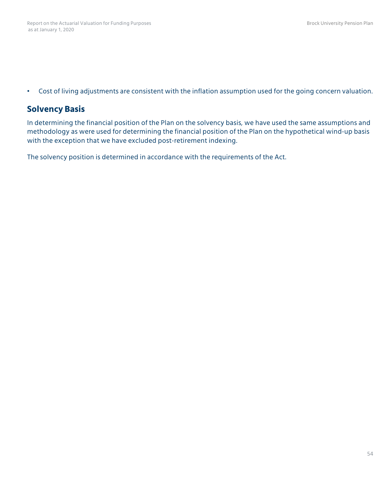• Cost of living adjustments are consistent with the inflation assumption used for the going concern valuation.

### **Solvency Basis**

In determining the financial position of the Plan on the solvency basis, we have used the same assumptions and methodology as were used for determining the financial position of the Plan on the hypothetical wind-up basis with the exception that we have excluded post-retirement indexing.

The solvency position is determined in accordance with the requirements of the Act.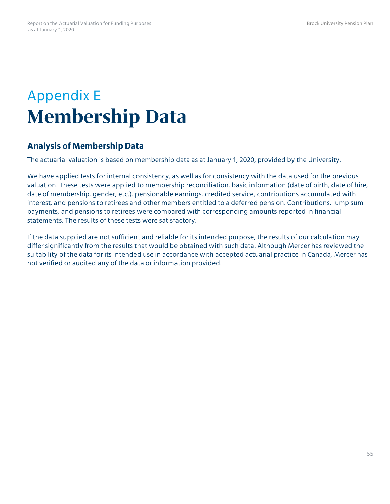## Appendix E **Membership Data**

## **Analysis of Membership Data**

The actuarial valuation is based on membership data as at January 1, 2020, provided by the University.

We have applied tests for internal consistency, as well as for consistency with the data used for the previous valuation. These tests were applied to membership reconciliation, basic information (date of birth, date of hire, date of membership, gender, etc.), pensionable earnings, credited service, contributions accumulated with interest, and pensions to retirees and other members entitled to a deferred pension. Contributions, lump sum payments, and pensions to retirees were compared with corresponding amounts reported in financial statements. The results of these tests were satisfactory.

If the data supplied are not sufficient and reliable for its intended purpose, the results of our calculation may differ significantly from the results that would be obtained with such data. Although Mercer has reviewed the suitability of the data for its intended use in accordance with accepted actuarial practice in Canada, Mercer has not verified or audited any of the data or information provided.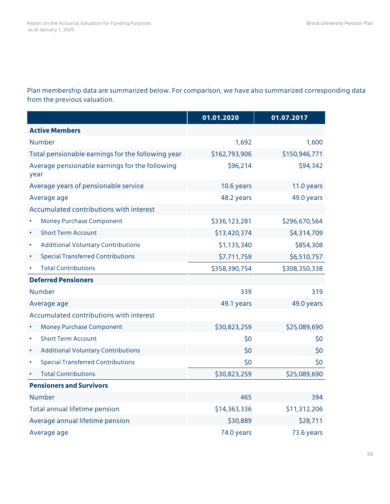Plan membership data are summarized below. For comparison, we have also summarized corresponding data from the previous valuation.

|                                                        | 01.01.2020    | 01.07.2017    |
|--------------------------------------------------------|---------------|---------------|
| <b>Active Members</b>                                  |               |               |
| <b>Number</b>                                          | 1,692         | 1,600         |
| Total pensionable earnings for the following year      | \$162,793,906 | \$150,946,771 |
| Average pensionable earnings for the following<br>year | \$96,214      | \$94,342      |
| Average years of pensionable service                   | 10.6 years    | 11.0 years    |
| Average age                                            | 48.2 years    | 49.0 years    |
| Accumulated contributions with interest                |               |               |
| Money Purchase Component                               | \$336,123,281 | \$296,670,564 |
| <b>Short Term Account</b><br>$\bullet$                 | \$13,420,374  | \$4,314,709   |
| <b>Additional Voluntary Contributions</b><br>$\bullet$ | \$1,135,340   | \$854,308     |
| <b>Special Transferred Contributions</b><br>٠          | \$7,711,759   | \$6,510,757   |
| <b>Total Contributions</b>                             | \$358,390,754 | \$308,350,338 |
| <b>Deferred Pensioners</b>                             |               |               |
| Number                                                 | 339           | 319           |
| Average age                                            | 49.1 years    | 49.0 years    |
| Accumulated contributions with interest                |               |               |
| <b>Money Purchase Component</b><br>$\bullet$           | \$30,823,259  | \$25,089,690  |
| <b>Short Term Account</b><br>$\bullet$                 | \$0           | \$0           |
| <b>Additional Voluntary Contributions</b>              | \$0           | \$0           |
| <b>Special Transferred Contributions</b><br>٠          | \$0           | \$0           |
| <b>Total Contributions</b>                             | \$30,823,259  | \$25,089,690  |
| <b>Pensioners and Survivors</b>                        |               |               |
| Number                                                 | 465           | 394           |
| Total annual lifetime pension                          | \$14,363,336  | \$11,312,206  |
| Average annual lifetime pension                        | \$30,889      | \$28,711      |
| Average age                                            | 74.0 years    | 73.6 years    |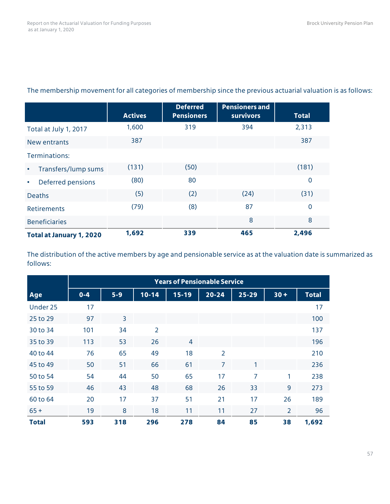|                                  | <b>Actives</b> | <b>Deferred</b><br><b>Pensioners</b> | <b>Pensioners and</b><br><b>survivors</b> | <b>Total</b>   |
|----------------------------------|----------------|--------------------------------------|-------------------------------------------|----------------|
| Total at July 1, 2017            | 1,600          | 319                                  | 394                                       | 2,313          |
| New entrants                     | 387            |                                      |                                           | 387            |
| Terminations:                    |                |                                      |                                           |                |
| Transfers/lump sums<br>$\bullet$ | (131)          | (50)                                 |                                           | (181)          |
| Deferred pensions<br>$\bullet$   | (80)           | 80                                   |                                           | $\overline{0}$ |
| <b>Deaths</b>                    | (5)            | (2)                                  | (24)                                      | (31)           |
| <b>Retirements</b>               | (79)           | (8)                                  | 87                                        | $\mathbf 0$    |
| <b>Beneficiaries</b>             |                |                                      | 8                                         | 8              |
| <b>Total at January 1, 2020</b>  | 1,692          | 339                                  | 465                                       | 2,496          |

### The membership movement for all categories of membership since the previous actuarial valuation is as follows:

The distribution of the active members by age and pensionable service as at the valuation date is summarized as follows:

|                           | <b>Years of Pensionable Service</b> |       |                |                |                |                |                |              |
|---------------------------|-------------------------------------|-------|----------------|----------------|----------------|----------------|----------------|--------------|
| $\overline{\mathbf{Age}}$ | $0 - 4$                             | $5-9$ | $10 - 14$      | $15 - 19$      | $20 - 24$      | $25 - 29$      | $30 +$         | <b>Total</b> |
| Under 25                  | 17                                  |       |                |                |                |                |                | 17           |
| 25 to 29                  | 97                                  | 3     |                |                |                |                |                | 100          |
| 30 to 34                  | 101                                 | 34    | $\overline{2}$ |                |                |                |                | 137          |
| 35 to 39                  | 113                                 | 53    | 26             | $\overline{4}$ |                |                |                | 196          |
| 40 to 44                  | 76                                  | 65    | 49             | 18             | $\overline{2}$ |                |                | 210          |
| 45 to 49                  | 50                                  | 51    | 66             | 61             | $\overline{7}$ | 1              |                | 236          |
| 50 to 54                  | 54                                  | 44    | 50             | 65             | 17             | $\overline{7}$ | 1              | 238          |
| 55 to 59                  | 46                                  | 43    | 48             | 68             | 26             | 33             | 9              | 273          |
| 60 to 64                  | 20                                  | 17    | 37             | 51             | 21             | 17             | 26             | 189          |
| $65 +$                    | 19                                  | 8     | 18             | 11             | 11             | 27             | $\overline{2}$ | 96           |
| <b>Total</b>              | 593                                 | 318   | 296            | 278            | 84             | 85             | 38             | 1,692        |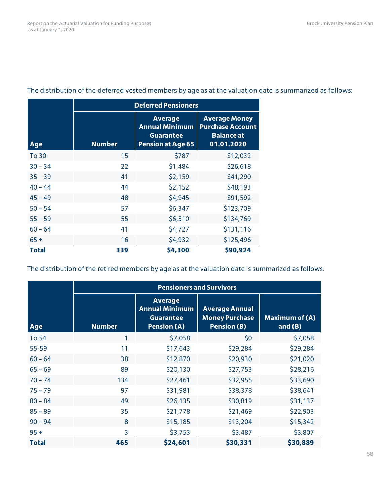|            | <b>Deferred Pensioners</b> |                                                                                         |                                                                                    |  |  |
|------------|----------------------------|-----------------------------------------------------------------------------------------|------------------------------------------------------------------------------------|--|--|
| <b>Age</b> | <b>Number</b>              | <b>Average</b><br><b>Annual Minimum</b><br><b>Guarantee</b><br><b>Pension at Age 65</b> | <b>Average Money</b><br><b>Purchase Account</b><br><b>Balance at</b><br>01.01.2020 |  |  |
| To 30      | 15                         | \$787                                                                                   | \$12,032                                                                           |  |  |
| $30 - 34$  | 22                         | \$1,484                                                                                 | \$26,618                                                                           |  |  |
| $35 - 39$  | 41                         | \$2,159                                                                                 | \$41,290                                                                           |  |  |
| $40 - 44$  | 44                         | \$2,152                                                                                 | \$48,193                                                                           |  |  |
| $45 - 49$  | 48                         | \$4,945                                                                                 | \$91,592                                                                           |  |  |
| $50 - 54$  | 57                         | \$6,347                                                                                 | \$123,709                                                                          |  |  |
| $55 - 59$  | 55                         | \$6,510                                                                                 | \$134,769                                                                          |  |  |
| $60 - 64$  | 41                         | \$4,727                                                                                 | \$131,116                                                                          |  |  |
| $65+$      | 16                         | \$4,932                                                                                 | \$125,496                                                                          |  |  |
| Total      | 339                        | \$4,300                                                                                 | \$90,924                                                                           |  |  |

### The distribution of the deferred vested members by age as at the valuation date is summarized as follows:

The distribution of the retired members by age as at the valuation date is summarized as follows:

|              | <b>Pensioners and Survivors</b> |                                                                                   |                                                                      |                                    |  |  |
|--------------|---------------------------------|-----------------------------------------------------------------------------------|----------------------------------------------------------------------|------------------------------------|--|--|
| Age          | <b>Number</b>                   | <b>Average</b><br><b>Annual Minimum</b><br><b>Guarantee</b><br><b>Pension (A)</b> | <b>Average Annual</b><br><b>Money Purchase</b><br><b>Pension (B)</b> | <b>Maximum of (A)</b><br>and $(B)$ |  |  |
| <b>To 54</b> | 1                               | \$7,058                                                                           | \$0                                                                  | \$7,058                            |  |  |
| 55-59        | 11                              | \$17,643                                                                          | \$29,284                                                             | \$29,284                           |  |  |
| $60 - 64$    | 38                              | \$12,870                                                                          | \$20,930                                                             | \$21,020                           |  |  |
| $65 - 69$    | 89                              | \$20,130                                                                          | \$27,753                                                             | \$28,216                           |  |  |
| $70 - 74$    | 134                             | \$27,461                                                                          | \$32,955                                                             | \$33,690                           |  |  |
| $75 - 79$    | 97                              | \$31,981                                                                          | \$38,378                                                             | \$38,641                           |  |  |
| $80 - 84$    | 49                              | \$26,135                                                                          | \$30,819                                                             | \$31,137                           |  |  |
| $85 - 89$    | 35                              | \$21,778                                                                          | \$21,469                                                             | \$22,903                           |  |  |
| $90 - 94$    | 8                               | \$15,185                                                                          | \$13,204                                                             | \$15,342                           |  |  |
| $95 +$       | 3                               | \$3,753                                                                           | \$3,487                                                              | \$3,807                            |  |  |
| <b>Total</b> | 465                             | \$24,601                                                                          | \$30,331                                                             | \$30,889                           |  |  |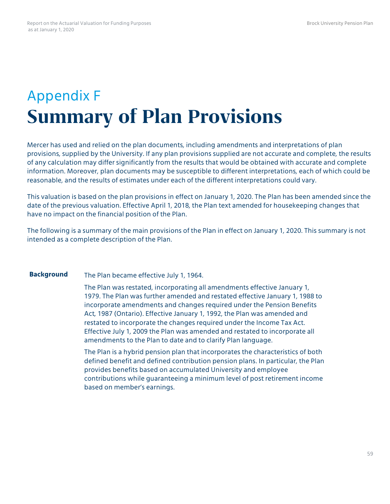## Appendix F **Summary of Plan Provisions**

Mercer has used and relied on the plan documents, including amendments and interpretations of plan provisions, supplied by the University. If any plan provisions supplied are not accurate and complete, the results of any calculation may differ significantly from the results that would be obtained with accurate and complete information. Moreover, plan documents may be susceptible to different interpretations, each of which could be reasonable, and the results of estimates under each of the different interpretations could vary.

This valuation is based on the plan provisions in effect on January 1, 2020. The Plan has been amended since the date of the previous valuation. Effective April 1, 2018, the Plan text amended for housekeeping changes that have no impact on the financial position of the Plan.

The following is a summary of the main provisions of the Plan in effect on January 1, 2020. This summary is not intended as a complete description of the Plan.

**Background** The Plan became effective July 1, 1964.

The Plan was restated, incorporating all amendments effective January 1, 1979. The Plan was further amended and restated effective January 1, 1988 to incorporate amendments and changes required under the Pension Benefits Act, 1987 (Ontario). Effective January 1, 1992, the Plan was amended and restated to incorporate the changes required under the Income Tax Act. Effective July 1, 2009 the Plan was amended and restated to incorporate all amendments to the Plan to date and to clarify Plan language.

The Plan is a hybrid pension plan that incorporates the characteristics of both defined benefit and defined contribution pension plans. In particular, the Plan provides benefits based on accumulated University and employee contributions while guaranteeing a minimum level of post retirement income based on member's earnings.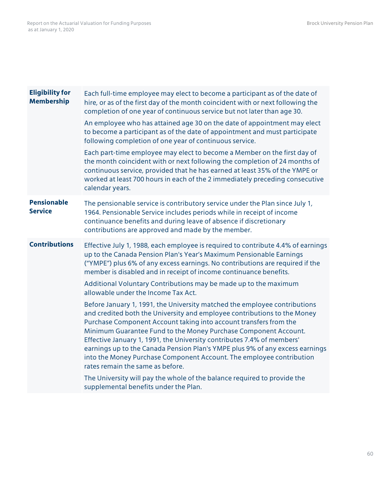| <b>Eligibility for</b><br><b>Membership</b> | Each full-time employee may elect to become a participant as of the date of<br>hire, or as of the first day of the month coincident with or next following the<br>completion of one year of continuous service but not later than age 30.                                                                                                                                                                                                                                                                                                                           |
|---------------------------------------------|---------------------------------------------------------------------------------------------------------------------------------------------------------------------------------------------------------------------------------------------------------------------------------------------------------------------------------------------------------------------------------------------------------------------------------------------------------------------------------------------------------------------------------------------------------------------|
|                                             | An employee who has attained age 30 on the date of appointment may elect<br>to become a participant as of the date of appointment and must participate<br>following completion of one year of continuous service.                                                                                                                                                                                                                                                                                                                                                   |
|                                             | Each part-time employee may elect to become a Member on the first day of<br>the month coincident with or next following the completion of 24 months of<br>continuous service, provided that he has earned at least 35% of the YMPE or<br>worked at least 700 hours in each of the 2 immediately preceding consecutive<br>calendar years.                                                                                                                                                                                                                            |
| <b>Pensionable</b><br><b>Service</b>        | The pensionable service is contributory service under the Plan since July 1,<br>1964. Pensionable Service includes periods while in receipt of income<br>continuance benefits and during leave of absence if discretionary<br>contributions are approved and made by the member.                                                                                                                                                                                                                                                                                    |
| <b>Contributions</b>                        | Effective July 1, 1988, each employee is required to contribute 4.4% of earnings<br>up to the Canada Pension Plan's Year's Maximum Pensionable Earnings<br>("YMPE") plus 6% of any excess earnings. No contributions are required if the<br>member is disabled and in receipt of income continuance benefits.                                                                                                                                                                                                                                                       |
|                                             | Additional Voluntary Contributions may be made up to the maximum<br>allowable under the Income Tax Act.                                                                                                                                                                                                                                                                                                                                                                                                                                                             |
|                                             | Before January 1, 1991, the University matched the employee contributions<br>and credited both the University and employee contributions to the Money<br>Purchase Component Account taking into account transfers from the<br>Minimum Guarantee Fund to the Money Purchase Component Account.<br>Effective January 1, 1991, the University contributes 7.4% of members'<br>earnings up to the Canada Pension Plan's YMPE plus 9% of any excess earnings<br>into the Money Purchase Component Account. The employee contribution<br>rates remain the same as before. |
|                                             | The University will pay the whole of the balance required to provide the<br>supplemental benefits under the Plan.                                                                                                                                                                                                                                                                                                                                                                                                                                                   |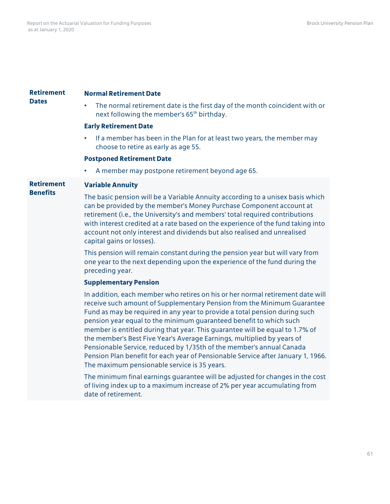| <b>Retirement</b> | <b>Normal Retirement Date</b>                                                                                                                                                                                                                                                                                                                                                                                                                                                                                                                                                                                                                                                       |
|-------------------|-------------------------------------------------------------------------------------------------------------------------------------------------------------------------------------------------------------------------------------------------------------------------------------------------------------------------------------------------------------------------------------------------------------------------------------------------------------------------------------------------------------------------------------------------------------------------------------------------------------------------------------------------------------------------------------|
| <b>Dates</b>      | The normal retirement date is the first day of the month coincident with or<br>next following the member's 65 <sup>th</sup> birthday.                                                                                                                                                                                                                                                                                                                                                                                                                                                                                                                                               |
|                   | <b>Early Retirement Date</b>                                                                                                                                                                                                                                                                                                                                                                                                                                                                                                                                                                                                                                                        |
|                   | If a member has been in the Plan for at least two years, the member may<br>$\bullet$<br>choose to retire as early as age 55.                                                                                                                                                                                                                                                                                                                                                                                                                                                                                                                                                        |
|                   | <b>Postponed Retirement Date</b>                                                                                                                                                                                                                                                                                                                                                                                                                                                                                                                                                                                                                                                    |
|                   | A member may postpone retirement beyond age 65.<br>٠                                                                                                                                                                                                                                                                                                                                                                                                                                                                                                                                                                                                                                |
| <b>Retirement</b> | <b>Variable Annuity</b>                                                                                                                                                                                                                                                                                                                                                                                                                                                                                                                                                                                                                                                             |
| <b>Benefits</b>   | The basic pension will be a Variable Annuity according to a unisex basis which<br>can be provided by the member's Money Purchase Component account at<br>retirement (i.e., the University's and members' total required contributions<br>with interest credited at a rate based on the experience of the fund taking into<br>account not only interest and dividends but also realised and unrealised<br>capital gains or losses).                                                                                                                                                                                                                                                  |
|                   | This pension will remain constant during the pension year but will vary from<br>one year to the next depending upon the experience of the fund during the<br>preceding year.                                                                                                                                                                                                                                                                                                                                                                                                                                                                                                        |
|                   | <b>Supplementary Pension</b>                                                                                                                                                                                                                                                                                                                                                                                                                                                                                                                                                                                                                                                        |
|                   | In addition, each member who retires on his or her normal retirement date will<br>receive such amount of Supplementary Pension from the Minimum Guarantee<br>Fund as may be required in any year to provide a total pension during such<br>pension year equal to the minimum guaranteed benefit to which such<br>member is entitled during that year. This guarantee will be equal to 1.7% of<br>the member's Best Five Year's Average Earnings, multiplied by years of<br>Pensionable Service, reduced by 1/35th of the member's annual Canada<br>Pension Plan benefit for each year of Pensionable Service after January 1, 1966.<br>The maximum pensionable service is 35 years. |
|                   | The minimum final earnings guarantee will be adjusted for changes in the cost<br>of living index up to a maximum increase of 2% per year accumulating from<br>date of retirement.                                                                                                                                                                                                                                                                                                                                                                                                                                                                                                   |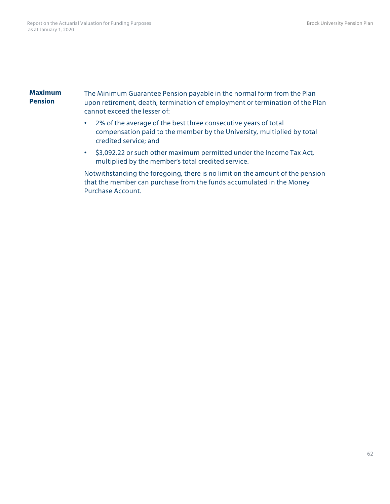#### **Maximum Pension**

The Minimum Guarantee Pension payable in the normal form from the Plan upon retirement, death, termination of employment or termination of the Plan cannot exceed the lesser of:

- 2% of the average of the best three consecutive years of total compensation paid to the member by the University, multiplied by total credited service; and
- \$3,092.22 or such other maximum permitted under the Income Tax Act, multiplied by the member's total credited service.

Notwithstanding the foregoing, there is no limit on the amount of the pension that the member can purchase from the funds accumulated in the Money Purchase Account.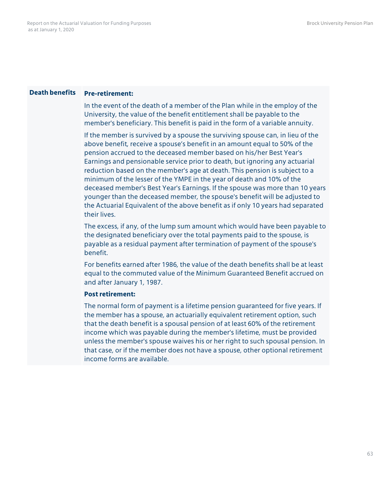#### **Death benefits Pre-retirement:**

In the event of the death of a member of the Plan while in the employ of the University, the value of the benefit entitlement shall be payable to the member's beneficiary. This benefit is paid in the form of a variable annuity.

If the member is survived by a spouse the surviving spouse can, in lieu of the above benefit, receive a spouse's benefit in an amount equal to 50% of the pension accrued to the deceased member based on his/her Best Year's Earnings and pensionable service prior to death, but ignoring any actuarial reduction based on the member's age at death. This pension is subject to a minimum of the lesser of the YMPE in the year of death and 10% of the deceased member's Best Year's Earnings. If the spouse was more than 10 years younger than the deceased member, the spouse's benefit will be adjusted to the Actuarial Equivalent of the above benefit as if only 10 years had separated their lives.

The excess, if any, of the lump sum amount which would have been payable to the designated beneficiary over the total payments paid to the spouse, is payable as a residual payment after termination of payment of the spouse's benefit.

For benefits earned after 1986, the value of the death benefits shall be at least equal to the commuted value of the Minimum Guaranteed Benefit accrued on and after January 1, 1987.

#### **Post retirement:**

The normal form of payment is a lifetime pension guaranteed for five years. If the member has a spouse, an actuarially equivalent retirement option, such that the death benefit is a spousal pension of at least 60% of the retirement income which was payable during the member's lifetime, must be provided unless the member's spouse waives his or her right to such spousal pension. In that case, or if the member does not have a spouse, other optional retirement income forms are available.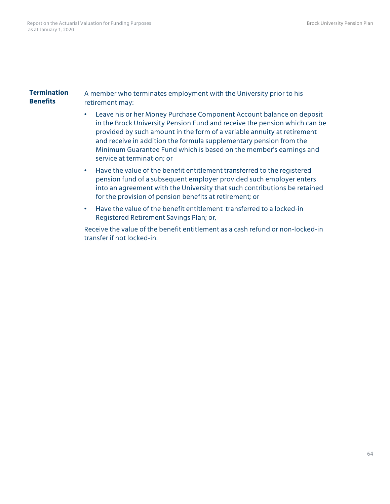#### **Termination Benefits** A member who terminates employment with the University prior to his retirement may:

- Leave his or her Money Purchase Component Account balance on deposit in the Brock University Pension Fund and receive the pension which can be provided by such amount in the form of a variable annuity at retirement and receive in addition the formula supplementary pension from the Minimum Guarantee Fund which is based on the member's earnings and service at termination; or
- Have the value of the benefit entitlement transferred to the registered pension fund of a subsequent employer provided such employer enters into an agreement with the University that such contributions be retained for the provision of pension benefits at retirement; or
- Have the value of the benefit entitlement transferred to a locked-in Registered Retirement Savings Plan; or,

Receive the value of the benefit entitlement as a cash refund or non-locked-in transfer if not locked-in.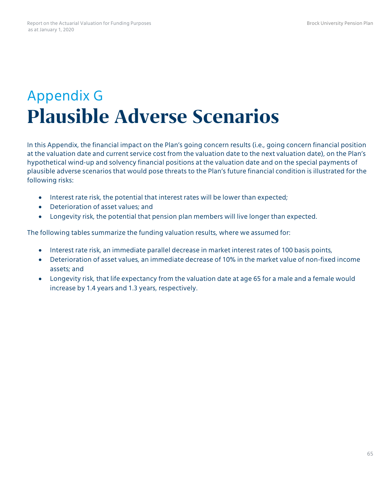## Appendix G **Plausible Adverse Scenarios**

In this Appendix, the financial impact on the Plan's going concern results (i.e., going concern financial position at the valuation date and current service cost from the valuation date to the next valuation date), on the Plan's hypothetical wind-up and solvency financial positions at the valuation date and on the special payments of plausible adverse scenarios that would pose threats to the Plan's future financial condition is illustrated for the following risks:

- Interest rate risk, the potential that interest rates will be lower than expected;
- Deterioration of asset values; and
- Longevity risk, the potential that pension plan members will live longer than expected.

The following tables summarize the funding valuation results, where we assumed for:

- Interest rate risk, an immediate parallel decrease in market interest rates of 100 basis points,
- Deterioration of asset values, an immediate decrease of 10% in the market value of non-fixed income assets; and
- Longevity risk, that life expectancy from the valuation date at age 65 for a male and a female would increase by 1.4 years and 1.3 years, respectively.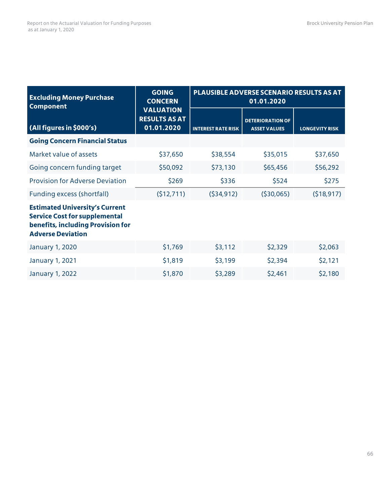| <b>Excluding Money Purchase</b><br><b>Component</b>                                                                                            | <b>GOING</b><br><b>CONCERN</b>                         | PLAUSIBLE ADVERSE SCENARIO RESULTS AS AT<br>01.01.2020 |                                                |                       |
|------------------------------------------------------------------------------------------------------------------------------------------------|--------------------------------------------------------|--------------------------------------------------------|------------------------------------------------|-----------------------|
| (All figures in \$000's)                                                                                                                       | <b>VALUATION</b><br><b>RESULTS AS AT</b><br>01.01.2020 | <b>INTEREST RATE RISK</b>                              | <b>DETERIORATION OF</b><br><b>ASSET VALUES</b> | <b>LONGEVITY RISK</b> |
| <b>Going Concern Financial Status</b>                                                                                                          |                                                        |                                                        |                                                |                       |
| Market value of assets                                                                                                                         | \$37,650                                               | \$38,554                                               | \$35,015                                       | \$37,650              |
| Going concern funding target                                                                                                                   | \$50,092                                               | \$73,130                                               | \$65,456                                       | \$56,292              |
| <b>Provision for Adverse Deviation</b>                                                                                                         | \$269                                                  | \$336                                                  | \$524                                          | \$275                 |
| Funding excess (shortfall)                                                                                                                     | (512, 711)                                             | (534, 912)                                             | (530,065)                                      | (518, 917)            |
| <b>Estimated University's Current</b><br><b>Service Cost for supplemental</b><br>benefits, including Provision for<br><b>Adverse Deviation</b> |                                                        |                                                        |                                                |                       |
| <b>January 1, 2020</b>                                                                                                                         | \$1,769                                                | \$3,112                                                | \$2,329                                        | \$2,063               |
| <b>January 1, 2021</b>                                                                                                                         | \$1,819                                                | \$3,199                                                | \$2,394                                        | \$2,121               |
| January 1, 2022                                                                                                                                | \$1,870                                                | \$3,289                                                | \$2,461                                        | \$2,180               |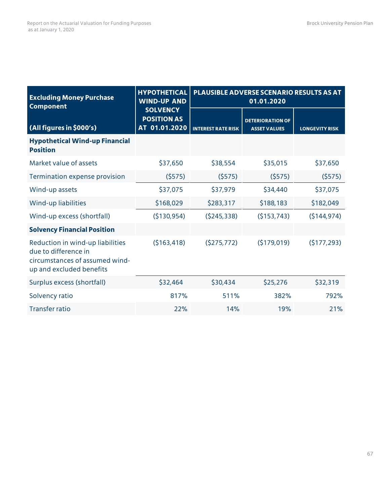| <b>Excluding Money Purchase</b><br><b>Component</b>                                                                    | <b>HYPOTHETICAL</b><br><b>WIND-UP AND</b>              | <b>PLAUSIBLE ADVERSE SCENARIO RESULTS AS AT</b><br>01.01.2020 |                                                |                       |
|------------------------------------------------------------------------------------------------------------------------|--------------------------------------------------------|---------------------------------------------------------------|------------------------------------------------|-----------------------|
| (All figures in \$000's)                                                                                               | <b>SOLVENCY</b><br><b>POSITION AS</b><br>AT 01.01.2020 | <b>INTEREST RATE RISK</b>                                     | <b>DETERIORATION OF</b><br><b>ASSET VALUES</b> | <b>LONGEVITY RISK</b> |
| <b>Hypothetical Wind-up Financial</b><br><b>Position</b>                                                               |                                                        |                                                               |                                                |                       |
| Market value of assets                                                                                                 | \$37,650                                               | \$38,554                                                      | \$35,015                                       | \$37,650              |
| Termination expense provision                                                                                          | (5575)                                                 | (5575)                                                        | (5575)                                         | (5575)                |
| Wind-up assets                                                                                                         | \$37,075                                               | \$37,979                                                      | \$34,440                                       | \$37,075              |
| Wind-up liabilities                                                                                                    | \$168,029                                              | \$283,317                                                     | \$188,183                                      | \$182,049             |
| Wind-up excess (shortfall)                                                                                             | (\$130,954)                                            | (5245, 338)                                                   | (5153, 743)                                    | (5144, 974)           |
| <b>Solvency Financial Position</b>                                                                                     |                                                        |                                                               |                                                |                       |
| Reduction in wind-up liabilities<br>due to difference in<br>circumstances of assumed wind-<br>up and excluded benefits | (5163, 418)                                            | (5275, 772)                                                   | (5179,019)                                     | (5177, 293)           |
| Surplus excess (shortfall)                                                                                             | \$32,464                                               | \$30,434                                                      | \$25,276                                       | \$32,319              |
| Solvency ratio                                                                                                         | 817%                                                   | 511%                                                          | 382%                                           | 792%                  |
| <b>Transfer ratio</b>                                                                                                  | 22%                                                    | 14%                                                           | 19%                                            | 21%                   |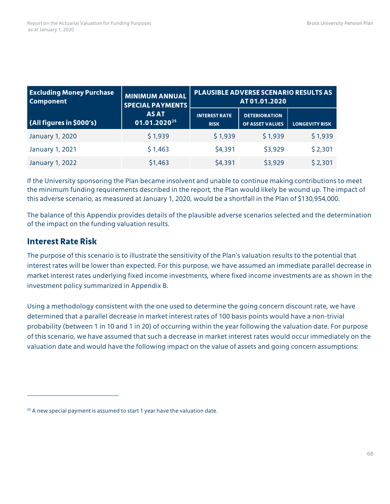| <b>Excluding Money Purchase</b><br><b>Component</b> | <b>MINIMUM ANNUAL</b><br><b>SPECIAL PAYMENTS</b> | <b>PLAUSIBLE ADVERSE SCENARIO RESULTS AS</b><br>AT 01.01.2020 |                                                |                       |
|-----------------------------------------------------|--------------------------------------------------|---------------------------------------------------------------|------------------------------------------------|-----------------------|
| (All figures in \$000's)                            | <b>AS AT</b><br>01.01.2020 <sup>25</sup>         | <b>INTEREST RATE</b><br><b>RISK</b>                           | <b>DETERIORATION</b><br><b>OF ASSET VALUES</b> | <b>LONGEVITY RISK</b> |
| <b>January 1, 2020</b>                              | \$1,939                                          | \$1,939                                                       | \$1,939                                        | \$1,939               |
| January 1, 2021                                     | \$1,463                                          | \$4,391                                                       | \$3,929                                        | \$2,301               |
| <b>January 1, 2022</b>                              | \$1,463                                          | \$4,391                                                       | \$3,929                                        | \$2,301               |

If the University sponsoring the Plan became insolvent and unable to continue making contributions to meet the minimum funding requirements described in the report, the Plan would likely be wound up. The impact of this adverse scenario, as measured at January 1, 2020, would be a shortfall in the Plan of \$130,954,000.

The balance of this Appendix provides details of the plausible adverse scenarios selected and the determination of the impact on the funding valuation results.

### **Interest Rate Risk**

 $\overline{a}$ 

The purpose of this scenario is to illustrate the sensitivity of the Plan's valuation results to the potential that interest rates will be lower than expected. For this purpose, we have assumed an immediate parallel decrease in market interest rates underlying fixed income investments, where fixed income investments are as shown in the investment policy summarized in Appendix B.

Using a methodology consistent with the one used to determine the going concern discount rate, we have determined that a parallel decrease in market interest rates of 100 basis points would have a non-trivial probability (between 1 in 10 and 1 in 20) of occurring within the year following the valuation date. For purpose of this scenario, we have assumed that such a decrease in market interest rates would occur immediately on the valuation date and would have the following impact on the value of assets and going concern assumptions:

<span id="page-70-0"></span> $25$  A new special payment is assumed to start 1 year have the valuation date.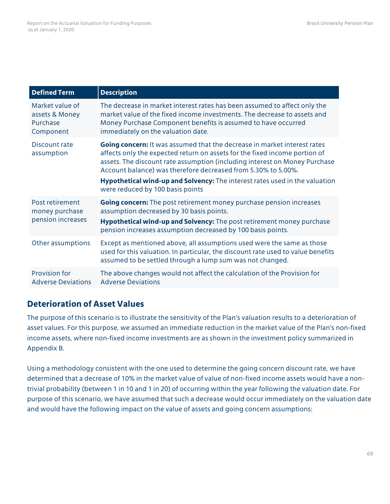| <b>Defined Term</b>                                        | <b>Description</b>                                                                                                                                                                                                                                                                                                                                                                                                              |
|------------------------------------------------------------|---------------------------------------------------------------------------------------------------------------------------------------------------------------------------------------------------------------------------------------------------------------------------------------------------------------------------------------------------------------------------------------------------------------------------------|
| Market value of<br>assets & Money<br>Purchase<br>Component | The decrease in market interest rates has been assumed to affect only the<br>market value of the fixed income investments. The decrease to assets and<br>Money Purchase Component benefits is assumed to have occurred<br>immediately on the valuation date.                                                                                                                                                                    |
| Discount rate<br>assumption                                | <b>Going concern:</b> It was assumed that the decrease in market interest rates<br>affects only the expected return on assets for the fixed income portion of<br>assets. The discount rate assumption (including interest on Money Purchase<br>Account balance) was therefore decreased from 5.30% to 5.00%.<br>Hypothetical wind-up and Solvency: The interest rates used in the valuation<br>were reduced by 100 basis points |
| Post retirement<br>money purchase<br>pension increases     | Going concern: The post retirement money purchase pension increases<br>assumption decreased by 30 basis points.<br>Hypothetical wind-up and Solvency: The post retirement money purchase<br>pension increases assumption decreased by 100 basis points.                                                                                                                                                                         |
| Other assumptions                                          | Except as mentioned above, all assumptions used were the same as those<br>used for this valuation. In particular, the discount rate used to value benefits<br>assumed to be settled through a lump sum was not changed.                                                                                                                                                                                                         |
| <b>Provision for</b><br><b>Adverse Deviations</b>          | The above changes would not affect the calculation of the Provision for<br><b>Adverse Deviations</b>                                                                                                                                                                                                                                                                                                                            |

## **Deterioration of Asset Values**

The purpose of this scenario is to illustrate the sensitivity of the Plan's valuation results to a deterioration of asset values. For this purpose, we assumed an immediate reduction in the market value of the Plan's non-fixed income assets, where non-fixed income investments are as shown in the investment policy summarized in Appendix B.

Using a methodology consistent with the one used to determine the going concern discount rate, we have determined that a decrease of 10% in the market value of value of non-fixed income assets would have a nontrivial probability (between 1 in 10 and 1 in 20) of occurring within the year following the valuation date. For purpose of this scenario, we have assumed that such a decrease would occur immediately on the valuation date and would have the following impact on the value of assets and going concern assumptions: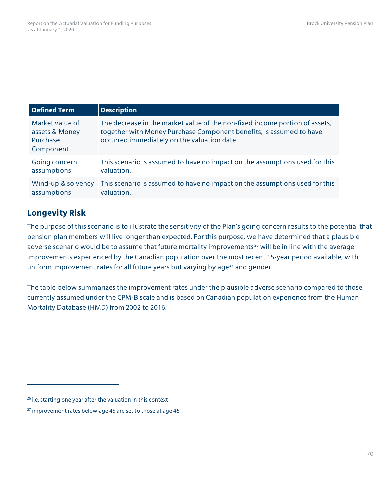| <b>Defined Term</b>                                        | <b>Description</b>                                                                                                                                                                                |
|------------------------------------------------------------|---------------------------------------------------------------------------------------------------------------------------------------------------------------------------------------------------|
| Market value of<br>assets & Money<br>Purchase<br>Component | The decrease in the market value of the non-fixed income portion of assets,<br>together with Money Purchase Component benefits, is assumed to have<br>occurred immediately on the valuation date. |
| Going concern                                              | This scenario is assumed to have no impact on the assumptions used for this                                                                                                                       |
| assumptions                                                | valuation.                                                                                                                                                                                        |
| Wind-up & solvency                                         | This scenario is assumed to have no impact on the assumptions used for this                                                                                                                       |
| assumptions                                                | valuation.                                                                                                                                                                                        |

## **Longevity Risk**

 $\overline{a}$ 

The purpose of this scenario is to illustrate the sensitivity of the Plan's going concern results to the potential that pension plan members will live longer than expected. For this purpose, we have determined that a plausible adverse scenario would be to assume that future mortality improvements<sup>[26](#page-72-0)</sup> will be in line with the average improvements experienced by the Canadian population over the most recent 15-year period available, with uniform improvement rates for all future years but varying by age $^{27}$  $^{27}$  $^{27}$  and gender.

The table below summarizes the improvement rates under the plausible adverse scenario compared to those currently assumed under the CPM-B scale and is based on Canadian population experience from the Human Mortality Database (HMD) from 2002 to 2016.

<span id="page-72-0"></span><sup>&</sup>lt;sup>26</sup> i.e. starting one year after the valuation in this context

<span id="page-72-1"></span><sup>&</sup>lt;sup>27</sup> improvement rates below age 45 are set to those at age 45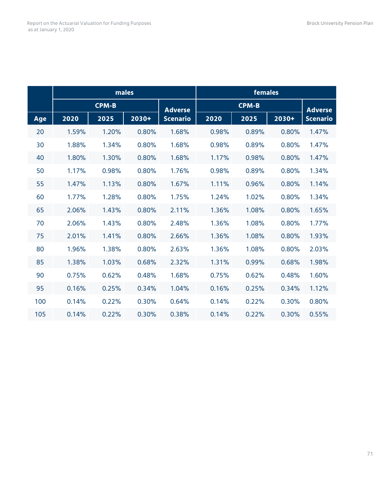|     | males        |       |       |                 | females      |       |       |                 |
|-----|--------------|-------|-------|-----------------|--------------|-------|-------|-----------------|
|     | <b>CPM-B</b> |       |       | <b>Adverse</b>  | <b>CPM-B</b> |       |       | <b>Adverse</b>  |
| Age | 2020         | 2025  | 2030+ | <b>Scenario</b> | 2020         | 2025  | 2030+ | <b>Scenario</b> |
| 20  | 1.59%        | 1.20% | 0.80% | 1.68%           | 0.98%        | 0.89% | 0.80% | 1.47%           |
| 30  | 1.88%        | 1.34% | 0.80% | 1.68%           | 0.98%        | 0.89% | 0.80% | 1.47%           |
| 40  | 1.80%        | 1.30% | 0.80% | 1.68%           | 1.17%        | 0.98% | 0.80% | 1.47%           |
| 50  | 1.17%        | 0.98% | 0.80% | 1.76%           | 0.98%        | 0.89% | 0.80% | 1.34%           |
| 55  | 1.47%        | 1.13% | 0.80% | 1.67%           | 1.11%        | 0.96% | 0.80% | 1.14%           |
| 60  | 1.77%        | 1.28% | 0.80% | 1.75%           | 1.24%        | 1.02% | 0.80% | 1.34%           |
| 65  | 2.06%        | 1.43% | 0.80% | 2.11%           | 1.36%        | 1.08% | 0.80% | 1.65%           |
| 70  | 2.06%        | 1.43% | 0.80% | 2.48%           | 1.36%        | 1.08% | 0.80% | 1.77%           |
| 75  | 2.01%        | 1.41% | 0.80% | 2.66%           | 1.36%        | 1.08% | 0.80% | 1.93%           |
| 80  | 1.96%        | 1.38% | 0.80% | 2.63%           | 1.36%        | 1.08% | 0.80% | 2.03%           |
| 85  | 1.38%        | 1.03% | 0.68% | 2.32%           | 1.31%        | 0.99% | 0.68% | 1.98%           |
| 90  | 0.75%        | 0.62% | 0.48% | 1.68%           | 0.75%        | 0.62% | 0.48% | 1.60%           |
| 95  | 0.16%        | 0.25% | 0.34% | 1.04%           | 0.16%        | 0.25% | 0.34% | 1.12%           |
| 100 | 0.14%        | 0.22% | 0.30% | 0.64%           | 0.14%        | 0.22% | 0.30% | 0.80%           |
| 105 | 0.14%        | 0.22% | 0.30% | 0.38%           | 0.14%        | 0.22% | 0.30% | 0.55%           |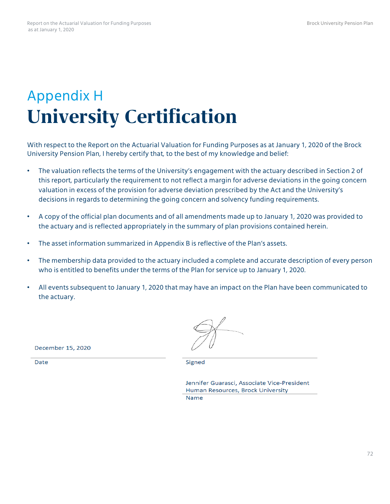## Appendix H **University Certification**

With respect to the Report on the Actuarial Valuation for Funding Purposes as at January 1, 2020 of the Brock University Pension Plan, I hereby certify that, to the best of my knowledge and belief:

- The valuation reflects the terms of the University's engagement with the actuary described in Section 2 of this report, particularly the requirement to not reflect a margin for adverse deviations in the going concern valuation in excess of the provision for adverse deviation prescribed by the Act and the University's decisions in regards to determining the going concern and solvency funding requirements.
- A copy of the official plan documents and of all amendments made up to January 1, 2020 was provided to the actuary and is reflected appropriately in the summary of plan provisions contained herein.
- The asset information summarized in Appendix B is reflective of the Plan's assets.
- The membership data provided to the actuary included a complete and accurate description of every person who is entitled to benefits under the terms of the Plan for service up to January 1, 2020.
- All events subsequent to January 1, 2020 that may have an impact on the Plan have been communicated to the actuary.

December 15, 2020

Date

Signed

Jennifer Guarasci, Associate Vice-President Human Resources, Brock University **Name**